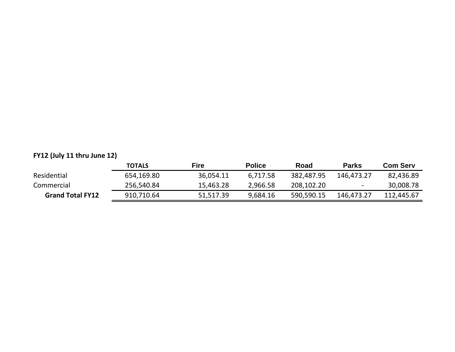### **FY12 (July 11 thru June 12)**

|                         | <b>TOTALS</b> | Fire      | <b>Police</b> | Road       | <b>Parks</b> | <b>Com Serv</b> |
|-------------------------|---------------|-----------|---------------|------------|--------------|-----------------|
| Residential             | 654,169.80    | 36,054.11 | 6,717.58      | 382,487.95 | 146,473.27   | 82,436.89       |
| Commercial              | 256,540.84    | 15,463.28 | 2,966.58      | 208,102.20 | $\sim$       | 30,008.78       |
| <b>Grand Total FY12</b> | 910,710.64    | 51,517.39 | 9,684.16      | 590,590.15 | 146,473.27   | 112,445.67      |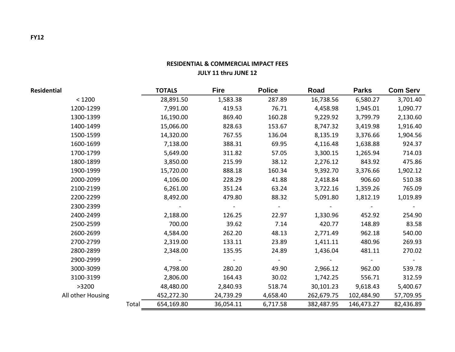| <b>Residential</b> |       | <b>TOTALS</b> | <b>Fire</b> | <b>Police</b> | Road       | <b>Parks</b> | <b>Com Serv</b> |
|--------------------|-------|---------------|-------------|---------------|------------|--------------|-----------------|
| < 1200             |       | 28,891.50     | 1,583.38    | 287.89        | 16,738.56  | 6,580.27     | 3,701.40        |
| 1200-1299          |       | 7,991.00      | 419.53      | 76.71         | 4,458.98   | 1,945.01     | 1,090.77        |
| 1300-1399          |       | 16,190.00     | 869.40      | 160.28        | 9,229.92   | 3,799.79     | 2,130.60        |
| 1400-1499          |       | 15,066.00     | 828.63      | 153.67        | 8,747.32   | 3,419.98     | 1,916.40        |
| 1500-1599          |       | 14,320.00     | 767.55      | 136.04        | 8,135.19   | 3,376.66     | 1,904.56        |
| 1600-1699          |       | 7,138.00      | 388.31      | 69.95         | 4,116.48   | 1,638.88     | 924.37          |
| 1700-1799          |       | 5,649.00      | 311.82      | 57.05         | 3,300.15   | 1,265.94     | 714.03          |
| 1800-1899          |       | 3,850.00      | 215.99      | 38.12         | 2,276.12   | 843.92       | 475.86          |
| 1900-1999          |       | 15,720.00     | 888.18      | 160.34        | 9,392.70   | 3,376.66     | 1,902.12        |
| 2000-2099          |       | 4,106.00      | 228.29      | 41.88         | 2,418.84   | 906.60       | 510.38          |
| 2100-2199          |       | 6,261.00      | 351.24      | 63.24         | 3,722.16   | 1,359.26     | 765.09          |
| 2200-2299          |       | 8,492.00      | 479.80      | 88.32         | 5,091.80   | 1,812.19     | 1,019.89        |
| 2300-2399          |       |               |             |               |            |              |                 |
| 2400-2499          |       | 2,188.00      | 126.25      | 22.97         | 1,330.96   | 452.92       | 254.90          |
| 2500-2599          |       | 700.00        | 39.62       | 7.14          | 420.77     | 148.89       | 83.58           |
| 2600-2699          |       | 4,584.00      | 262.20      | 48.13         | 2,771.49   | 962.18       | 540.00          |
| 2700-2799          |       | 2,319.00      | 133.11      | 23.89         | 1,411.11   | 480.96       | 269.93          |
| 2800-2899          |       | 2,348.00      | 135.95      | 24.89         | 1,436.04   | 481.11       | 270.02          |
| 2900-2999          |       |               |             |               |            |              |                 |
| 3000-3099          |       | 4,798.00      | 280.20      | 49.90         | 2,966.12   | 962.00       | 539.78          |
| 3100-3199          |       | 2,806.00      | 164.43      | 30.02         | 1,742.25   | 556.71       | 312.59          |
| >3200              |       | 48,480.00     | 2,840.93    | 518.74        | 30,101.23  | 9,618.43     | 5,400.67        |
| All other Housing  |       | 452,272.30    | 24,739.29   | 4,658.40      | 262,679.75 | 102,484.90   | 57,709.95       |
|                    | Total | 654,169.80    | 36,054.11   | 6,717.58      | 382,487.95 | 146,473.27   | 82,436.89       |

### **RESIDENTIAL & COMMERCIAL IMPACT FEES JULY 11 thru JUNE 12**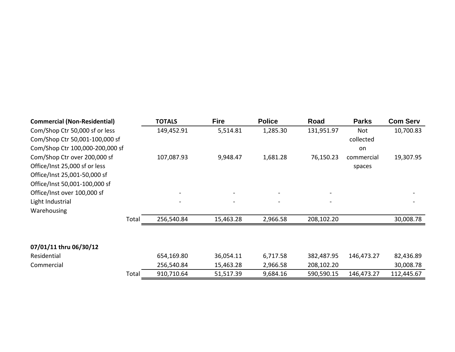| <b>Commercial (Non-Residential)</b> |       | <b>TOTALS</b> | <b>Fire</b> | <b>Police</b> | Road       | <b>Parks</b> | <b>Com Serv</b> |
|-------------------------------------|-------|---------------|-------------|---------------|------------|--------------|-----------------|
| Com/Shop Ctr 50,000 sf or less      |       | 149,452.91    | 5,514.81    | 1,285.30      | 131,951.97 | Not          | 10,700.83       |
| Com/Shop Ctr 50,001-100,000 sf      |       |               |             |               |            | collected    |                 |
| Com/Shop Ctr 100,000-200,000 sf     |       |               |             |               |            | on           |                 |
| Com/Shop Ctr over 200,000 sf        |       | 107,087.93    | 9,948.47    | 1,681.28      | 76,150.23  | commercial   | 19,307.95       |
| Office/Inst 25,000 sf or less       |       |               |             |               |            | spaces       |                 |
| Office/Inst 25,001-50,000 sf        |       |               |             |               |            |              |                 |
| Office/Inst 50,001-100,000 sf       |       |               |             |               |            |              |                 |
| Office/Inst over 100,000 sf         |       |               |             |               |            |              |                 |
| Light Industrial                    |       |               |             |               |            |              |                 |
| Warehousing                         |       |               |             |               |            |              |                 |
|                                     | Total | 256,540.84    | 15,463.28   | 2,966.58      | 208,102.20 |              | 30,008.78       |
|                                     |       |               |             |               |            |              |                 |
| 07/01/11 thru 06/30/12              |       |               |             |               |            |              |                 |
| Residential                         |       | 654,169.80    | 36,054.11   | 6,717.58      | 382,487.95 | 146,473.27   | 82,436.89       |
| Commercial                          |       | 256,540.84    | 15,463.28   | 2,966.58      | 208,102.20 |              | 30,008.78       |
|                                     | Total | 910,710.64    | 51,517.39   | 9,684.16      | 590,590.15 | 146,473.27   | 112,445.67      |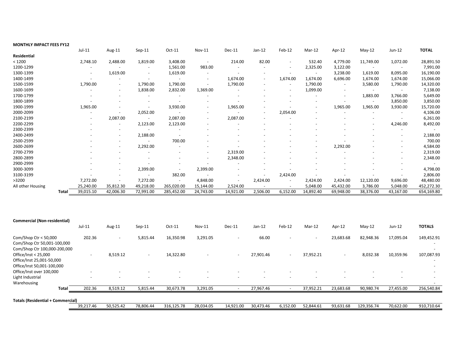| <b>MONTHLY IMPACT FEES FY12</b> |       |           |                          |                          |                          |                          |                          |                          |                          |           |                          |           |                          |              |
|---------------------------------|-------|-----------|--------------------------|--------------------------|--------------------------|--------------------------|--------------------------|--------------------------|--------------------------|-----------|--------------------------|-----------|--------------------------|--------------|
|                                 |       | $Jul-11$  | Aug-11                   | $Sep-11$                 | Oct-11                   | Nov-11                   | Dec-11                   | $Jan-12$                 | Feb-12                   | Mar-12    | Apr-12                   | $May-12$  | Jun-12                   | <b>TOTAL</b> |
| Residential                     |       |           |                          |                          |                          |                          |                          |                          |                          |           |                          |           |                          |              |
| < 1200                          |       | 2,748.10  | 2,488.00                 | 1,819.00                 | 3,408.00                 | $\overline{\phantom{a}}$ | 214.00                   | 82.00                    | $\overline{\phantom{a}}$ | 532.40    | 4,779.00                 | 11,749.00 | 1,072.00                 | 28,891.50    |
| 1200-1299                       |       |           |                          |                          | 1,561.00                 | 983.00                   |                          |                          | $\overline{\phantom{a}}$ | 2,325.00  | 3,122.00                 |           |                          | 7,991.00     |
| 1300-1399                       |       |           | 1,619.00                 |                          | 1,619.00                 |                          |                          |                          | $\overline{\phantom{a}}$ |           | 3,238.00                 | 1,619.00  | 8,095.00                 | 16,190.00    |
| 1400-1499                       |       |           |                          |                          | $\sim$                   | $\overline{\phantom{a}}$ | 1,674.00                 | $\overline{\phantom{0}}$ | 1,674.00                 | 1,674.00  | 6,696.00                 | 1,674.00  | 1,674.00                 | 15,066.00    |
| 1500-1599                       |       | 1,790.00  | $\sim$                   | 1,790.00                 | 1,790.00                 | $\overline{\phantom{a}}$ | 1,790.00                 |                          | $\overline{\phantom{a}}$ | 1,790.00  | $\overline{\phantom{a}}$ | 3,580.00  | 1,790.00                 | 14,320.00    |
| 1600-1699                       |       |           | $\overline{\phantom{a}}$ | 1,838.00                 | 2,832.00                 | 1,369.00                 |                          |                          | $\overline{\phantom{a}}$ | 1,099.00  |                          |           |                          | 7,138.00     |
| 1700-1799                       |       |           |                          |                          |                          |                          |                          |                          |                          |           |                          | 1,883.00  | 3,766.00                 | 5,649.00     |
| 1800-1899                       |       |           |                          |                          |                          |                          |                          |                          |                          |           |                          |           | 3,850.00                 | 3,850.00     |
| 1900-1999                       |       | 1,965.00  |                          |                          | 3,930.00                 | $\overline{\phantom{a}}$ | 1,965.00                 |                          |                          |           | 1,965.00                 | 1,965.00  | 3,930.00                 | 15,720.00    |
| 2000-2099                       |       |           |                          | 2,052.00                 |                          |                          | $\overline{\phantom{a}}$ |                          | 2,054.00                 |           |                          |           | $\overline{\phantom{a}}$ | 4,106.00     |
| 2100-2199                       |       |           | 2,087.00                 |                          | 2,087.00                 |                          | 2,087.00                 |                          |                          |           |                          |           |                          | 6,261.00     |
| 2200-2299                       |       |           |                          | 2,123.00                 | 2,123.00                 |                          |                          |                          |                          |           |                          |           | 4,246.00                 | 8,492.00     |
| 2300-2399                       |       |           |                          |                          |                          |                          |                          |                          |                          |           |                          |           |                          |              |
| 2400-2499                       |       |           |                          | 2,188.00                 |                          |                          |                          |                          |                          |           |                          |           |                          | 2,188.00     |
| 2500-2599                       |       |           |                          | $\overline{\phantom{a}}$ | 700.00                   |                          |                          |                          |                          |           |                          |           |                          | 700.00       |
| 2600-2699                       |       |           |                          | 2,292.00                 |                          |                          |                          |                          |                          |           | 2,292.00                 |           |                          | 4,584.00     |
| 2700-2799                       |       |           |                          |                          |                          |                          | 2,319.00                 |                          |                          |           |                          |           |                          | 2,319.00     |
| 2800-2899                       |       |           |                          |                          |                          |                          | 2,348.00                 |                          |                          |           |                          |           |                          | 2,348.00     |
| 2900-2999                       |       |           |                          |                          |                          |                          |                          |                          |                          |           |                          |           |                          | $\sim$       |
| 3000-3099                       |       |           |                          | 2,399.00                 | $\overline{\phantom{a}}$ | 2,399.00                 |                          |                          |                          |           |                          |           |                          | 4,798.00     |
| 3100-3199                       |       |           |                          |                          | 382.00                   |                          |                          |                          | 2,424.00                 |           |                          |           |                          | 2,806.00     |
| >3200                           |       | 7,272.00  |                          | 7,272.00                 | $\overline{\phantom{a}}$ | 4,848.00                 |                          | 2,424.00                 | $\sim$                   | 2,424.00  | 2,424.00                 | 12,120.00 | 9,696.00                 | 48,480.00    |
| All other Housing               |       | 25,240.00 | 35,812.30                | 49,218.00                | 265,020.00               | 15,144.00                | 2,524.00                 |                          | $\overline{\phantom{a}}$ | 5,048.00  | 45,432.00                | 3,786.00  | 5,048.00                 | 452,272.30   |
|                                 | Total | 39,015.10 | 42,006.30                | 72,991.00                | 285,452.00               | 24,743.00                | 14,921.00                | 2,506.00                 | 6,152.00                 | 14,892.40 | 69,948.00                | 38,376.00 | 43,167.00                | 654,169.80   |

| <b>Commercial (Non-residential)</b>                                                    |                          |                          |                          |                          |                          |                          |                          |                          |           |                          |            |           |                                                                    |
|----------------------------------------------------------------------------------------|--------------------------|--------------------------|--------------------------|--------------------------|--------------------------|--------------------------|--------------------------|--------------------------|-----------|--------------------------|------------|-----------|--------------------------------------------------------------------|
|                                                                                        | Jul-11                   | Aug-11                   | $Sep-11$                 | Oct-11                   | <b>Nov-11</b>            | Dec-11                   | Jan-12                   | Feb-12                   | Mar-12    | Apr-12                   | $May-12$   | Jun-12    | <b>TOTALS</b>                                                      |
| Com/Shop Ctr < $50,000$<br>Com/Shop Ctr 50,001-100,000<br>Com/Shop Ctr 100,000-200,000 | 202.36                   | $\overline{\phantom{a}}$ | 5,815.44                 | 16,350.98                | 3,291.05                 | $\overline{\phantom{a}}$ | 66.00                    | $\overline{\phantom{a}}$ | $\sim$    | 23,683.68                | 82,948.36  | 17,095.04 | 149,452.91                                                         |
| Office/Inst < 25,000<br>Office/Inst 25,001-50,000<br>Office/Inst 50,001-100,000        | $\overline{\phantom{a}}$ | 8,519.12                 | $\sim$                   | 14.322.80                | $\overline{\phantom{a}}$ | $\overline{\phantom{a}}$ | 27,901.46                | $\overline{\phantom{a}}$ | 37,952.21 | $\overline{\phantom{a}}$ | 8,032.38   | 10,359.96 | 107,087.93<br>$\overline{\phantom{a}}$<br>$\overline{\phantom{0}}$ |
| Office/Inst over 100,000                                                               |                          |                          |                          |                          |                          | $\overline{\phantom{m}}$ |                          |                          |           |                          |            |           |                                                                    |
| Light Industrial<br>Warehousing                                                        |                          | $\overline{\phantom{a}}$ | $\overline{\phantom{a}}$ | $\overline{\phantom{a}}$ | $\overline{\phantom{0}}$ | $\overline{\phantom{0}}$ | $\overline{\phantom{0}}$ | $\overline{\phantom{a}}$ |           | $\overline{\phantom{a}}$ |            |           | $\overline{\phantom{a}}$                                           |
| <b>Total</b>                                                                           | 202.36                   | 8,519.12                 | 5,815.44                 | 30,673.78                | 3,291.05                 |                          | 27,967.46                |                          | 37,952.21 | 23,683.68                | 90,980.74  | 27,455.00 | 256,540.84                                                         |
| <b>Totals (Residential + Commercial)</b>                                               |                          |                          |                          |                          |                          |                          |                          |                          |           |                          |            |           |                                                                    |
|                                                                                        | 39,217.46                | 50,525.42                | 78,806.44                | 316,125.78               | 28,034.05                | 14,921.00                | 30,473.46                | 6,152.00                 | 52,844.61 | 93,631.68                | 129,356.74 | 70,622.00 | 910,710.64                                                         |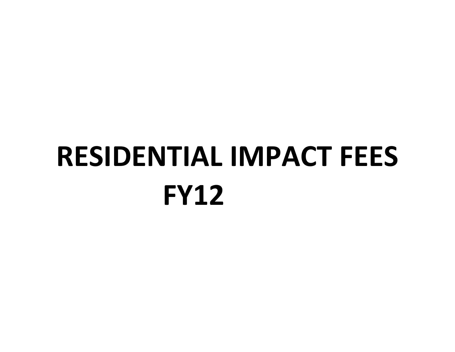# **FY12 RESIDENTIAL IMPACT FEES**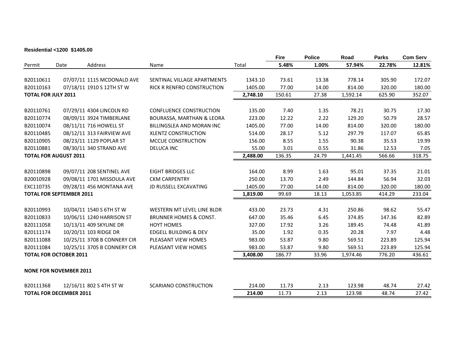#### **Residential <1200 \$1405.00**

|                            |                                 |                             |                                      |          | <b>Fire</b> | <b>Police</b> | Road     | <b>Parks</b> | <b>Com Serv</b> |
|----------------------------|---------------------------------|-----------------------------|--------------------------------------|----------|-------------|---------------|----------|--------------|-----------------|
| Permit                     | Date                            | Address                     | Name                                 | Total    | 5.48%       | 1.00%         | 57.94%   | 22.78%       | 12.81%          |
|                            |                                 |                             |                                      |          |             |               |          |              |                 |
| B20110611                  |                                 | 07/07/11 1115 MCDONALD AVE  | SENTINAL VILLAGE APARTMENTS          | 1343.10  | 73.61       | 13.38         | 778.14   | 305.90       | 172.07          |
| B20110163                  |                                 | 07/18/11 1910 S 12TH ST W   | <b>RICK R RENFRO CONSTRUCTION</b>    | 1405.00  | 77.00       | 14.00         | 814.00   | 320.00       | 180.00          |
| <b>TOTAL FOR JULY 2011</b> |                                 |                             |                                      | 2,748.10 | 150.61      | 27.38         | 1,592.14 | 625.90       | 352.07          |
| B20110761                  |                                 | 07/29/11 4304 LINCOLN RD    | <b>CONFLUENCE CONSTRUCTION</b>       | 135.00   | 7.40        | 1.35          | 78.21    | 30.75        | 17.30           |
| B20110774                  |                                 | 08/09/11 3924 TIMBERLANE    | <b>BOURASSA, MARTHAN &amp; LEORA</b> | 223.00   | 12.22       | 2.22          | 129.20   | 50.79        | 28.57           |
| B20110074                  |                                 | 08/11/11 716 HOWELL ST      | <b>BILLINGSLEA AND MORAN INC</b>     | 1405.00  | 77.00       | 14.00         | 814.00   | 320.00       | 180.00          |
| B20110485                  |                                 | 08/12/11 313 FAIRVIEW AVE   | <b>XLENTZ CONSTRUCTION</b>           | 514.00   | 28.17       | 5.12          | 297.79   | 117.07       | 65.85           |
| B20110905                  |                                 | 08/23/11 1129 POPLAR ST     | MCCUE CONSTRUCTION                   | 156.00   | 8.55        | 1.55          | 90.38    | 35.53        | 19.99           |
| B20110881                  |                                 | 08/30/11 340 STRAND AVE     | <b>DELUCA INC</b>                    | 55.00    | 3.01        | 0.55          | 31.86    | 12.53        | 7.05            |
|                            | <b>TOTAL FOR AUGUST 2011</b>    |                             |                                      | 2,488.00 | 136.35      | 24.79         | 1,441.45 | 566.66       | 318.75          |
|                            |                                 |                             |                                      |          |             |               |          |              |                 |
| B20110898                  |                                 | 09/07/11 208 SENTINEL AVE   | <b>EIGHT BRIDGES LLC</b>             | 164.00   | 8.99        | 1.63          | 95.01    | 37.35        | 21.01           |
| B20010928                  |                                 | 09/08/11 1701 MISSOULA AVE  | <b>CKM CARPENTRY</b>                 | 250.00   | 13.70       | 2.49          | 144.84   | 56.94        | 32.03           |
| EXC110735                  |                                 | 09/28/11 456 MONTANA AVE    | <b>JD RUSSELL EXCAVATING</b>         | 1405.00  | 77.00       | 14.00         | 814.00   | 320.00       | 180.00          |
|                            | <b>TOTAL FOR SEPTEMBER 2011</b> |                             |                                      | 1,819.00 | 99.69       | 18.13         | 1,053.85 | 414.29       | 233.04          |
|                            |                                 |                             |                                      |          |             |               |          |              |                 |
| B20110993                  |                                 | 10/04/11 1540 S 6TH ST W    | WESTERN MT LEVEL LINE BLDR           | 433.00   | 23.73       | 4.31          | 250.86   | 98.62        | 55.47           |
| B20110833                  |                                 | 10/06/11 1240 HARRISON ST   | <b>BRUNNER HOMES &amp; CONST.</b>    | 647.00   | 35.46       | 6.45          | 374.85   | 147.36       | 82.89           |
| B20111058                  |                                 | 10/13/11 409 SKYLINE DR     | <b>HOYT HOMES</b>                    | 327.00   | 17.92       | 3.26          | 189.45   | 74.48        | 41.89           |
| B20111174                  |                                 | 10/20/11 103 RIDGE DR       | <b>EDGELL BUILDING &amp; DEV</b>     | 35.00    | 1.92        | 0.35          | 20.28    | 7.97         | 4.48            |
| B20111088                  |                                 | 10/25/11 3708 B CONNERY CIR | PLEASANT VIEW HOMES                  | 983.00   | 53.87       | 9.80          | 569.51   | 223.89       | 125.94          |
| B20111084                  |                                 | 10/25/11 3705 B CONNERY CIR | PLEASANT VIEW HOMES                  | 983.00   | 53.87       | 9.80          | 569.51   | 223.89       | 125.94          |
|                            | <b>TOTAL FOR OCTOBER 2011</b>   |                             |                                      | 3,408.00 | 186.77      | 33.96         | 1,974.46 | 776.20       | 436.61          |
|                            | <b>NONE FOR NOVEMBER 2011</b>   |                             |                                      |          |             |               |          |              |                 |
| B20111368                  |                                 | 12/16/11 802 S 4TH ST W     | <b>SCARIANO CONSTRUCTION</b>         | 214.00   | 11.73       | 2.13          | 123.98   | 48.74        | 27.42           |
|                            | <b>TOTAL FOR DECEMBER 2011</b>  |                             |                                      | 214.00   | 11.73       | 2.13          | 123.98   | 48.74        | 27.42           |
|                            |                                 |                             |                                      |          |             |               |          |              |                 |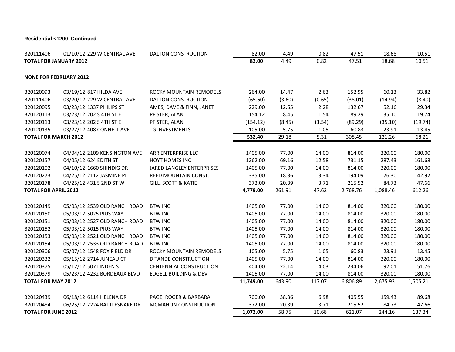#### **Residential <1200 Continued**

| B20111406                     | 01/10/12 229 W CENTRAL AVE    | DALTON CONSTRUCTION            | 82.00     | 4.49   | 0.82   | 47.51    | 18.68    | 10.51    |
|-------------------------------|-------------------------------|--------------------------------|-----------|--------|--------|----------|----------|----------|
| <b>TOTAL FOR JANUARY 2012</b> |                               |                                | 82.00     | 4.49   | 0.82   | 47.51    | 18.68    | 10.51    |
|                               | <b>NONE FOR FEBRUARY 2012</b> |                                |           |        |        |          |          |          |
| B20120093                     | 03/19/12 817 HILDA AVE        | ROCKY MOUNTAIN REMODELS        | 264.00    | 14.47  | 2.63   | 152.95   | 60.13    | 33.82    |
| B20111406                     | 03/20/12 229 W CENTRAL AVE    | DALTON CONSTRUCTION            | (65.60)   | (3.60) | (0.65) | (38.01)  | (14.94)  | (8.40)   |
| B20120095                     | 03/23/12 1337 PHILIPS ST      | AMES, DAVE & FINN, JANET       | 229.00    | 12.55  | 2.28   | 132.67   | 52.16    | 29.34    |
| B20120113                     | 03/23/12 202 S 4TH ST E       | PFISTER, ALAN                  | 154.12    | 8.45   | 1.54   | 89.29    | 35.10    | 19.74    |
| B20120113                     | 03/23/12 202 S 4TH ST E       | PFISTER, ALAN                  | (154.12)  | (8.45) | (1.54) | (89.29)  | (35.10)  | (19.74)  |
| B20120135                     | 03/27/12 408 CONNELL AVE      | TG INVESTMENTS                 | 105.00    | 5.75   | 1.05   | 60.83    | 23.91    | 13.45    |
| <b>TOTAL FOR MARCH 2012</b>   |                               |                                | 532.40    | 29.18  | 5.31   | 308.45   | 121.26   | 68.21    |
|                               |                               |                                |           |        |        |          |          |          |
| B20120074                     | 04/04/12 2109 KENSINGTON AVE  | ARR ENTERPRISE LLC             | 1405.00   | 77.00  | 14.00  | 814.00   | 320.00   | 180.00   |
| B20120157                     | 04/05/12 624 EDITH ST         | <b>HOYT HOMES INC</b>          | 1262.00   | 69.16  | 12.58  | 731.15   | 287.43   | 161.68   |
| B20120102                     | 04/10/12 1660 SHINDIG DR      | JARED LANGLEY ENTERPRISES      | 1405.00   | 77.00  | 14.00  | 814.00   | 320.00   | 180.00   |
| B20120273                     | 04/25/12 2112 JASMINE PL      | REED MOUNTAIN CONST.           | 335.00    | 18.36  | 3.34   | 194.09   | 76.30    | 42.92    |
| B20120178                     | 04/25/12 431 S 2ND ST W       | <b>GILL, SCOTT &amp; KATIE</b> | 372.00    | 20.39  | 3.71   | 215.52   | 84.73    | 47.66    |
| <b>TOTAL FOR APRIL 2012</b>   |                               |                                | 4,779.00  | 261.91 | 47.62  | 2,768.76 | 1,088.46 | 612.26   |
|                               |                               |                                |           |        |        |          |          |          |
| B20120149                     | 05/03/12 2539 OLD RANCH ROAD  | <b>BTW INC</b>                 | 1405.00   | 77.00  | 14.00  | 814.00   | 320.00   | 180.00   |
| B20120150                     | 05/03/12 5025 PIUS WAY        | <b>BTW INC</b>                 | 1405.00   | 77.00  | 14.00  | 814.00   | 320.00   | 180.00   |
| B20120151                     | 05/03/12 2527 OLD RANCH ROAD  | <b>BTW INC</b>                 | 1405.00   | 77.00  | 14.00  | 814.00   | 320.00   | 180.00   |
| B20120152                     | 05/03/12 5015 PIUS WAY        | <b>BTW INC</b>                 | 1405.00   | 77.00  | 14.00  | 814.00   | 320.00   | 180.00   |
| B20120153                     | 05/03/12 2521 OLD RANCH ROAD  | <b>BTW INC</b>                 | 1405.00   | 77.00  | 14.00  | 814.00   | 320.00   | 180.00   |
| B20120154                     | 05/03/12 2533 OLD RANCH ROAD  | <b>BTW INC</b>                 | 1405.00   | 77.00  | 14.00  | 814.00   | 320.00   | 180.00   |
| B20120306                     | 05/07/12 1548 FOX FIELD DR    | ROCKY MOUNTAIN REMODELS        | 105.00    | 5.75   | 1.05   | 60.83    | 23.91    | 13.45    |
| B20120332                     | 05/15/12 2714 JUNEAU CT       | <b>D TANDE CONSTRUCTION</b>    | 1405.00   | 77.00  | 14.00  | 814.00   | 320.00   | 180.00   |
| B20120375                     | 05/17/12 507 LINDEN ST        | CENTENNIAL CONSTRUCTION        | 404.00    | 22.14  | 4.03   | 234.06   | 92.01    | 51.76    |
| B20120379                     | 05/23/12 4232 BORDEAUX BLVD   | EDGELL BUILDING & DEV          | 1405.00   | 77.00  | 14.00  | 814.00   | 320.00   | 180.00   |
| <b>TOTAL FOR MAY 2012</b>     |                               |                                | 11,749.00 | 643.90 | 117.07 | 6,806.89 | 2,675.93 | 1,505.21 |
|                               |                               |                                |           |        |        |          |          |          |
| B20120439                     | 06/18/12 6114 HELENA DR       | PAGE, ROGER & BARBARA          | 700.00    | 38.36  | 6.98   | 405.55   | 159.43   | 89.68    |
| B20120484                     | 06/25/12 2224 RATTLESNAKE DR  | <b>MCMAHON CONSTRUCTION</b>    | 372.00    | 20.39  | 3.71   | 215.52   | 84.73    | 47.66    |
| <b>TOTAL FOR JUNE 2012</b>    |                               |                                | 1,072.00  | 58.75  | 10.68  | 621.07   | 244.16   | 137.34   |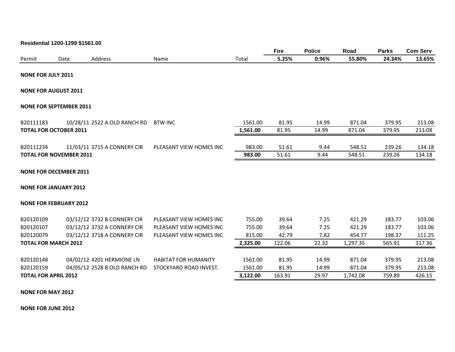|                                |      |                              |                             |          | <b>Fire</b> | <b>Police</b> | Road     | <b>Parks</b> | <b>Com Serv</b> |
|--------------------------------|------|------------------------------|-----------------------------|----------|-------------|---------------|----------|--------------|-----------------|
| Permit                         | Date | Address                      | Name                        | Total    | 5.25%       | 0.96%         | 55.80%   | 24.34%       | 13.65%          |
| <b>NONE FOR JULY 2011</b>      |      |                              |                             |          |             |               |          |              |                 |
| <b>NONE FOR AUGUST 2011</b>    |      |                              |                             |          |             |               |          |              |                 |
| <b>NONE FOR SEPTEMBER 2011</b> |      |                              |                             |          |             |               |          |              |                 |
| B20111183                      |      | 10/28/11 2522 A OLD RANCH RD | <b>BTW INC</b>              | 1561.00  | 81.95       | 14.99         | 871.04   | 379.95       | 213.08          |
| <b>TOTAL FOR OCTOBER 2011</b>  |      |                              |                             | 1,561.00 | 81.95       | 14.99         | 871.04   | 379.95       | 213.08          |
| B20111234                      |      | 11/03/11 3715 A CONNERY CIR  | PLEASANT VIEW HOMES INC     | 983.00   | 51.61       | 9.44          | 548.51   | 239.26       | 134.18          |
| <b>TOTAL FOR NOVEMBER 2011</b> |      |                              |                             | 983.00   | 51.61       | 9.44          | 548.51   | 239.26       | 134.18          |
| <b>NONE FOR DECEMBER 2011</b>  |      |                              |                             |          |             |               |          |              |                 |
| <b>NONE FOR JANUARY 2012</b>   |      |                              |                             |          |             |               |          |              |                 |
| <b>NONE FOR FEBRUARY 2012</b>  |      |                              |                             |          |             |               |          |              |                 |
| B20120109                      |      | 03/12/12 3732 B CONNERY CIR  | PLEASANT VIEW HOMES INC     | 755.00   | 39.64       | 7.25          | 421.29   | 183.77       | 103.06          |
| B20120107                      |      | 03/12/12 3732 A CONNERY CIR  | PLEASANT VIEW HOMES INC     | 755.00   | 39.64       | 7.25          | 421.29   | 183.77       | 103.06          |
| B20120079                      |      | 03/12/12 3718 A CONNERY CIR  | PLEASANT VIEW HOMES INC     | 815.00   | 42.79       | 7.82          | 454.77   | 198.37       | 111.25          |
| <b>TOTAL FOR MARCH 2012</b>    |      |                              |                             | 2,325.00 | 122.06      | 22.32         | 1,297.35 | 565.91       | 317.36          |
| B20120148                      |      | 04/02/12 4201 HERMIONE LN    | <b>HABITAT FOR HUMANITY</b> | 1561.00  | 81.95       | 14.99         | 871.04   | 379.95       | 213.08          |
| B20120159                      |      | 04/05/12 2528 B OLD RANCH RD | STOCKYARD ROAD INVEST.      | 1561.00  | 81.95       | 14.99         | 871.04   | 379.95       | 213.08          |
| <b>TOTAL FOR APRIL 2012</b>    |      |                              |                             | 3,122.00 | 163.91      | 29.97         | 1,742.08 | 759.89       | 426.15          |
| <b>NONE FOR MAY 2012</b>       |      |                              |                             |          |             |               |          |              |                 |

**NONE FOR JUNE 2012**

**Residential 1200-1299 \$1561.00**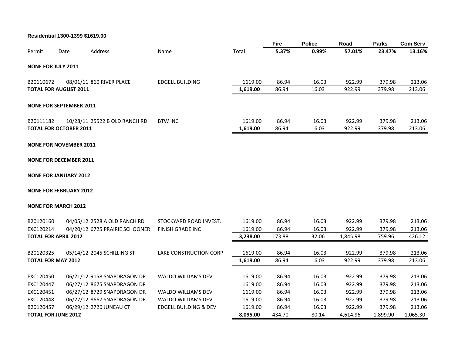#### **Residential 1300-1399 \$1619.00**

|                        |                                |                                                            |                           |                    | Fire           | <b>Police</b>  | Road             | <b>Parks</b>     | <b>Com Serv</b>  |
|------------------------|--------------------------------|------------------------------------------------------------|---------------------------|--------------------|----------------|----------------|------------------|------------------|------------------|
| Permit                 | Date                           | Address                                                    | Name                      | Total              | 5.37%          | 0.99%          | 57.01%           | 23.47%           | 13.16%           |
|                        | <b>NONE FOR JULY 2011</b>      |                                                            |                           |                    |                |                |                  |                  |                  |
| B20110672              |                                | 08/01/11 860 RIVER PLACE                                   | <b>EDGELL BUILDING</b>    | 1619.00            | 86.94          | 16.03          | 922.99           | 379.98           | 213.06           |
|                        | <b>TOTAL FOR AUGUST 2011</b>   |                                                            |                           | 1,619.00           | 86.94          | 16.03          | 922.99           | 379.98           | 213.06           |
|                        | <b>NONE FOR SEPTEMBER 2011</b> |                                                            |                           |                    |                |                |                  |                  |                  |
| B20111182              |                                | 10/28/11 25522 B OLD RANCH RD                              | <b>BTW INC</b>            | 1619.00            | 86.94          | 16.03          | 922.99           | 379.98           | 213.06           |
|                        | <b>TOTAL FOR OCTOBER 2011</b>  |                                                            |                           | 1,619.00           | 86.94          | 16.03          | 922.99           | 379.98           | 213.06           |
|                        | <b>NONE FOR NOVEMBER 2011</b>  |                                                            |                           |                    |                |                |                  |                  |                  |
|                        | <b>NONE FOR DECEMBER 2011</b>  |                                                            |                           |                    |                |                |                  |                  |                  |
|                        | <b>NONE FOR JANUARY 2012</b>   |                                                            |                           |                    |                |                |                  |                  |                  |
|                        | <b>NONE FOR FEBRUARY 2012</b>  |                                                            |                           |                    |                |                |                  |                  |                  |
|                        | <b>NONE FOR MARCH 2012</b>     |                                                            |                           |                    |                |                |                  |                  |                  |
| B20120160              |                                | 04/05/12 2528 A OLD RANCH RD                               | STOCKYARD ROAD INVEST.    | 1619.00            | 86.94          | 16.03          | 922.99           | 379.98           | 213.06           |
| EXC120214              |                                | 04/20/12 6725 PRAIRIE SCHOONER                             | FINISH GRADE INC          | 1619.00            | 86.94          | 16.03          | 922.99           | 379.98           | 213.06           |
|                        | <b>TOTAL FOR APRIL 2012</b>    |                                                            |                           | 3,238.00           | 173.88         | 32.06          | 1,845.98         | 759.96           | 426.12           |
| B20120325              |                                | 05/14/12 2045 SCHILLING ST                                 | LAKE CONSTRUCTION CORP    | 1619.00            | 86.94          | 16.03          | 922.99           | 379.98           | 213.06           |
|                        | <b>TOTAL FOR MAY 2012</b>      |                                                            |                           | 1,619.00           | 86.94          | 16.03          | 922.99           | 379.98           | 213.06           |
|                        |                                |                                                            |                           |                    |                |                |                  |                  |                  |
| EXC120450              |                                | 06/21/12 9158 SNAPDRAGON DR                                | <b>WALDO WILLIAMS DEV</b> | 1619.00            | 86.94          | 16.03          | 922.99           | 379.98           | 213.06           |
| EXC120447<br>EXC120451 |                                | 06/27/12 8675 SNAPDRAGON DR<br>06/27/12 8729 SNAPDRAGON DR | <b>WALDO WILLIAMS DEV</b> | 1619.00<br>1619.00 | 86.94<br>86.94 | 16.03<br>16.03 | 922.99<br>922.99 | 379.98<br>379.98 | 213.06<br>213.06 |
| EXC120448              |                                | 06/27/12 8667 SNAPDRAGON DR                                | <b>WALDO WILLIAMS DEV</b> | 1619.00            | 86.94          | 16.03          | 922.99           | 379.98           | 213.06           |
| B20120457              |                                | 06/29/12 2726 JUNEAU CT                                    | EDGELL BUILDING & DEV     | 1619.00            | 86.94          | 16.03          | 922.99           | 379.98           | 213.06           |
|                        | <b>TOTAL FOR JUNE 2012</b>     |                                                            |                           | 8,095.00           | 434.70         | 80.14          | 4,614.96         | 1,899.90         | 1,065.30         |
|                        |                                |                                                            |                           |                    |                |                |                  |                  |                  |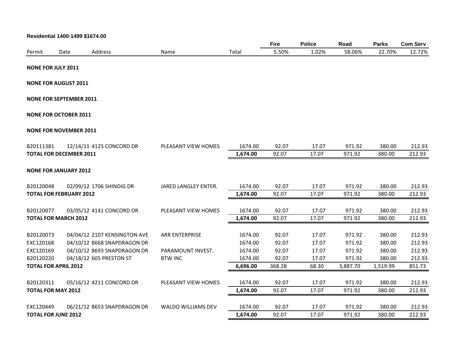|                           | Residential 1400-1499 \$1674.00 |                                                             |                           |                    |                |                |                  |                  |                  |
|---------------------------|---------------------------------|-------------------------------------------------------------|---------------------------|--------------------|----------------|----------------|------------------|------------------|------------------|
|                           |                                 |                                                             |                           |                    | <b>Fire</b>    | <b>Police</b>  | Road             | <b>Parks</b>     | <b>Com Serv</b>  |
| Permit                    | Date                            | Address                                                     | Name                      | Total              | 5.50%          | 1.02%          | 58.06%           | 22.70%           | 12.72%           |
| <b>NONE FOR JULY 2011</b> |                                 |                                                             |                           |                    |                |                |                  |                  |                  |
|                           |                                 |                                                             |                           |                    |                |                |                  |                  |                  |
|                           | <b>NONE FOR AUGUST 2011</b>     |                                                             |                           |                    |                |                |                  |                  |                  |
|                           | <b>NONE FOR SEPTEMBER 2011</b>  |                                                             |                           |                    |                |                |                  |                  |                  |
|                           | <b>NONE FOR OCTOBER 2011</b>    |                                                             |                           |                    |                |                |                  |                  |                  |
|                           | <b>NONE FOR NOVEMBER 2011</b>   |                                                             |                           |                    |                |                |                  |                  |                  |
| B20111381                 |                                 | 12/14/11 4125 CONCORD DR                                    | PLEASANT VIEW HOMES       | 1674.00            | 92.07          | 17.07          | 971.92           | 380.00           | 212.93           |
|                           | <b>TOTAL FOR DECEMBER 2011</b>  |                                                             |                           | 1,674.00           | 92.07          | 17.07          | 971.92           | 380.00           | 212.93           |
|                           | <b>NONE FOR JANUARY 2012</b>    |                                                             |                           |                    |                |                |                  |                  |                  |
| B20120048                 |                                 | 02/09/12 1706 SHINDIG DR                                    | JARED LANGLEY ENTER.      | 1674.00            | 92.07          | 17.07          | 971.92           | 380.00           | 212.93           |
|                           | <b>TOTAL FOR FEBRUARY 2012</b>  |                                                             |                           | 1,674.00           | 92.07          | 17.07          | 971.92           | 380.00           | 212.93           |
| B20120077                 |                                 | 03/05/12 4141 CONCORD DR                                    | PLEASANT VIEW HOMES       | 1674.00            | 92.07          | 17.07          | 971.92           | 380.00           | 212.93           |
|                           | <b>TOTAL FOR MARCH 2012</b>     |                                                             |                           | 1,674.00           | 92.07          | 17.07          | 971.92           | 380.00           | 212.93           |
|                           |                                 |                                                             |                           |                    |                |                |                  |                  |                  |
| B20120073<br>EXC120168    |                                 | 04/04/12 2107 KENSINGTON AVE<br>04/10/12 8668 SNAPDRAGON DR | <b>ARR ENTERPRISE</b>     | 1674.00<br>1674.00 | 92.07<br>92.07 | 17.07<br>17.07 | 971.92<br>971.92 | 380.00<br>380.00 | 212.93<br>212.93 |
| EXC120169                 |                                 | 04/10/12 8693 SNAPDRAGON DR                                 | PARAMOUNT INVEST.         | 1674.00            | 92.07          | 17.07          | 971.92           | 380.00           | 212.93           |
| B20120220                 |                                 | 04/18/12 605 PRESTON ST                                     | <b>BTW INC</b>            | 1674.00            | 92.07          | 17.07          | 971.92           | 380.00           | 212.93           |
|                           | <b>TOTAL FOR APRIL 2012</b>     |                                                             |                           | 6,696.00           | 368.28         | 68.30          | 3,887.70         | 1,519.99         | 851.73           |
|                           |                                 |                                                             |                           |                    |                |                |                  |                  |                  |
| B20120311                 |                                 | 05/16/12 4211 CONCORD DR                                    | PLEASANT VIEW HOMES       | 1674.00            | 92.07          | 17.07          | 971.92           | 380.00           | 212.93           |
|                           | <b>TOTAL FOR MAY 2012</b>       |                                                             |                           | 1,674.00           | 92.07          | 17.07          | 971.92           | 380.00           | 212.93           |
|                           |                                 |                                                             |                           |                    |                |                |                  |                  |                  |
| EXC120449                 |                                 | 06/21/12 8653 SNAPDRAGON DR                                 | <b>WALDO WILLIAMS DEV</b> | 1674.00            | 92.07          | 17.07          | 971.92           | 380.00           | 212.93           |
|                           | <b>TOTAL FOR JUNE 2012</b>      |                                                             |                           | 1,674.00           | 92.07          | 17.07          | 971.92           | 380.00           | 212.93           |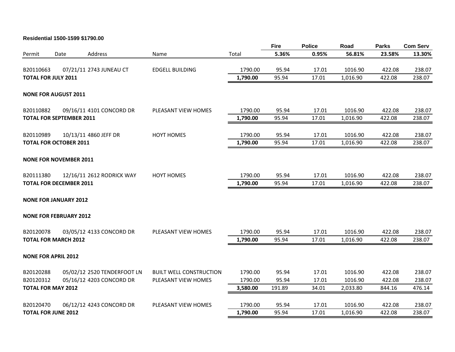#### **Residential 1500-1599 \$1790.00**

|                            |                                 |                             |                                | <b>Fire</b> | <b>Police</b> | Road  | <b>Parks</b> | <b>Com Serv</b> |        |
|----------------------------|---------------------------------|-----------------------------|--------------------------------|-------------|---------------|-------|--------------|-----------------|--------|
| Permit                     | Date                            | Address                     | Name                           | Total       | 5.36%         | 0.95% | 56.81%       | 23.58%          | 13.30% |
| B20110663                  |                                 | 07/21/11 2743 JUNEAU CT     | <b>EDGELL BUILDING</b>         | 1790.00     | 95.94         | 17.01 | 1016.90      | 422.08          | 238.07 |
| <b>TOTAL FOR JULY 2011</b> |                                 |                             |                                | 1,790.00    | 95.94         | 17.01 | 1,016.90     | 422.08          | 238.07 |
|                            |                                 |                             |                                |             |               |       |              |                 |        |
|                            | <b>NONE FOR AUGUST 2011</b>     |                             |                                |             |               |       |              |                 |        |
| B20110882                  |                                 | 09/16/11 4101 CONCORD DR    | PLEASANT VIEW HOMES            | 1790.00     | 95.94         | 17.01 | 1016.90      | 422.08          | 238.07 |
|                            | <b>TOTAL FOR SEPTEMBER 2011</b> |                             |                                | 1,790.00    | 95.94         | 17.01 | 1,016.90     | 422.08          | 238.07 |
| B20110989                  |                                 | 10/13/11 4860 JEFF DR       | <b>HOYT HOMES</b>              | 1790.00     | 95.94         | 17.01 | 1016.90      | 422.08          | 238.07 |
|                            | <b>TOTAL FOR OCTOBER 2011</b>   |                             |                                | 1,790.00    | 95.94         | 17.01 | 1,016.90     | 422.08          | 238.07 |
|                            |                                 |                             |                                |             |               |       |              |                 |        |
|                            | <b>NONE FOR NOVEMBER 2011</b>   |                             |                                |             |               |       |              |                 |        |
| B20111380                  |                                 | 12/16/11 2612 RODRICK WAY   | <b>HOYT HOMES</b>              | 1790.00     | 95.94         | 17.01 | 1016.90      | 422.08          | 238.07 |
|                            | <b>TOTAL FOR DECEMBER 2011</b>  |                             |                                | 1,790.00    | 95.94         | 17.01 | 1,016.90     | 422.08          | 238.07 |
|                            | <b>NONE FOR JANUARY 2012</b>    |                             |                                |             |               |       |              |                 |        |
|                            | <b>NONE FOR FEBRUARY 2012</b>   |                             |                                |             |               |       |              |                 |        |
| B20120078                  |                                 | 03/05/12 4133 CONCORD DR    | PLEASANT VIEW HOMES            | 1790.00     | 95.94         | 17.01 | 1016.90      | 422.08          | 238.07 |
|                            | <b>TOTAL FOR MARCH 2012</b>     |                             |                                | 1,790.00    | 95.94         | 17.01 | 1,016.90     | 422.08          | 238.07 |
|                            | <b>NONE FOR APRIL 2012</b>      |                             |                                |             |               |       |              |                 |        |
| B20120288                  |                                 | 05/02/12 2520 TENDERFOOT LN | <b>BUILT WELL CONSTRUCTION</b> | 1790.00     | 95.94         | 17.01 | 1016.90      | 422.08          | 238.07 |
| B20120312                  |                                 | 05/16/12 4203 CONCORD DR    | PLEASANT VIEW HOMES            | 1790.00     | 95.94         | 17.01 | 1016.90      | 422.08          | 238.07 |
|                            | <b>TOTAL FOR MAY 2012</b>       |                             |                                | 3,580.00    | 191.89        | 34.01 | 2,033.80     | 844.16          | 476.14 |
| B20120470                  |                                 | 06/12/12 4243 CONCORD DR    | PLEASANT VIEW HOMES            | 1790.00     | 95.94         | 17.01 | 1016.90      | 422.08          | 238.07 |
|                            | <b>TOTAL FOR JUNE 2012</b>      |                             |                                | 1,790.00    | 95.94         | 17.01 | 1,016.90     | 422.08          | 238.07 |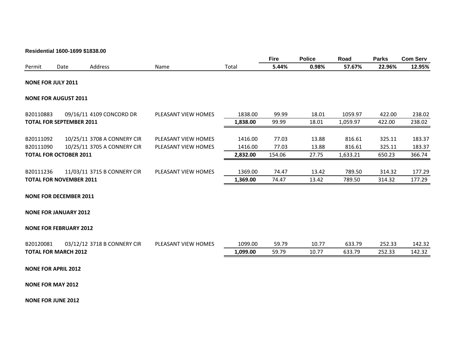#### **Residential 1600-1699 \$1838.00**

|                           |                                 |                             |                     |                     | <b>Fire</b>    | <b>Police</b>  | Road             | <b>Parks</b>     | <b>Com Serv</b>  |
|---------------------------|---------------------------------|-----------------------------|---------------------|---------------------|----------------|----------------|------------------|------------------|------------------|
| Permit                    | Date                            | Address                     | Name                | Total               | 5.44%          | 0.98%          | 57.67%           | 22.96%           | 12.95%           |
| <b>NONE FOR JULY 2011</b> |                                 |                             |                     |                     |                |                |                  |                  |                  |
|                           | <b>NONE FOR AUGUST 2011</b>     |                             |                     |                     |                |                |                  |                  |                  |
| B20110883                 |                                 | 09/16/11 4109 CONCORD DR    | PLEASANT VIEW HOMES | 1838.00             | 99.99          | 18.01          | 1059.97          | 422.00           | 238.02           |
|                           | <b>TOTAL FOR SEPTEMBER 2011</b> |                             |                     | 1,838.00            | 99.99          | 18.01          | 1,059.97         | 422.00           | 238.02           |
| B20111092                 |                                 | 10/25/11 3708 A CONNERY CIR | PLEASANT VIEW HOMES | 1416.00             | 77.03          | 13.88          | 816.61           | 325.11           | 183.37           |
| B20111090                 |                                 | 10/25/11 3705 A CONNERY CIR | PLEASANT VIEW HOMES | 1416.00             | 77.03          | 13.88          | 816.61           | 325.11           | 183.37           |
|                           | <b>TOTAL FOR OCTOBER 2011</b>   |                             |                     | 2,832.00            | 154.06         | 27.75          | 1,633.21         | 650.23           | 366.74           |
| B20111236                 | <b>TOTAL FOR NOVEMBER 2011</b>  | 11/03/11 3715 B CONNERY CIR | PLEASANT VIEW HOMES | 1369.00<br>1,369.00 | 74.47<br>74.47 | 13.42<br>13.42 | 789.50<br>789.50 | 314.32<br>314.32 | 177.29<br>177.29 |
|                           | <b>NONE FOR DECEMBER 2011</b>   |                             |                     |                     |                |                |                  |                  |                  |
|                           | <b>NONE FOR JANUARY 2012</b>    |                             |                     |                     |                |                |                  |                  |                  |
|                           | <b>NONE FOR FEBRUARY 2012</b>   |                             |                     |                     |                |                |                  |                  |                  |
| B20120081                 |                                 | 03/12/12 3718 B CONNERY CIR | PLEASANT VIEW HOMES | 1099.00             | 59.79          | 10.77          | 633.79           | 252.33           | 142.32           |
|                           | <b>TOTAL FOR MARCH 2012</b>     |                             |                     | 1,099.00            | 59.79          | 10.77          | 633.79           | 252.33           | 142.32           |
|                           | <b>NONE FOR APRIL 2012</b>      |                             |                     |                     |                |                |                  |                  |                  |
| <b>NONE FOR MAY 2012</b>  |                                 |                             |                     |                     |                |                |                  |                  |                  |

**NONE FOR JUNE 2012**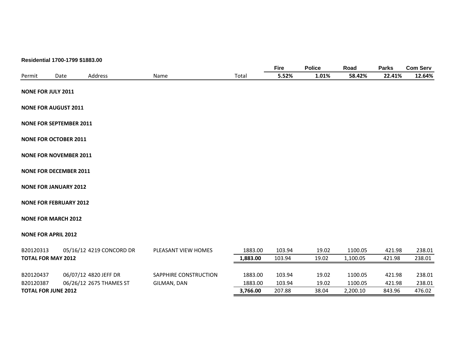|                             | Residential 1700-1799 \$1883.00 |                       |          |             |               |          |              |                 |
|-----------------------------|---------------------------------|-----------------------|----------|-------------|---------------|----------|--------------|-----------------|
|                             |                                 |                       |          | <b>Fire</b> | <b>Police</b> | Road     | <b>Parks</b> | <b>Com Serv</b> |
| Permit                      | Address<br>Date                 | Name                  | Total    | 5.52%       | 1.01%         | 58.42%   | 22.41%       | 12.64%          |
| <b>NONE FOR JULY 2011</b>   |                                 |                       |          |             |               |          |              |                 |
| <b>NONE FOR AUGUST 2011</b> |                                 |                       |          |             |               |          |              |                 |
|                             | <b>NONE FOR SEPTEMBER 2011</b>  |                       |          |             |               |          |              |                 |
|                             | <b>NONE FOR OCTOBER 2011</b>    |                       |          |             |               |          |              |                 |
|                             | <b>NONE FOR NOVEMBER 2011</b>   |                       |          |             |               |          |              |                 |
|                             | <b>NONE FOR DECEMBER 2011</b>   |                       |          |             |               |          |              |                 |
|                             | <b>NONE FOR JANUARY 2012</b>    |                       |          |             |               |          |              |                 |
|                             | <b>NONE FOR FEBRUARY 2012</b>   |                       |          |             |               |          |              |                 |
| <b>NONE FOR MARCH 2012</b>  |                                 |                       |          |             |               |          |              |                 |
| <b>NONE FOR APRIL 2012</b>  |                                 |                       |          |             |               |          |              |                 |
| B20120313                   | 05/16/12 4219 CONCORD DR        | PLEASANT VIEW HOMES   | 1883.00  | 103.94      | 19.02         | 1100.05  | 421.98       | 238.01          |
| <b>TOTAL FOR MAY 2012</b>   |                                 |                       | 1,883.00 | 103.94      | 19.02         | 1,100.05 | 421.98       | 238.01          |
| B20120437                   | 06/07/12 4820 JEFF DR           | SAPPHIRE CONSTRUCTION | 1883.00  | 103.94      | 19.02         | 1100.05  | 421.98       | 238.01          |
| B20120387                   | 06/26/12 2675 THAMES ST         | GILMAN, DAN           | 1883.00  | 103.94      | 19.02         | 1100.05  | 421.98       | 238.01          |
| <b>TOTAL FOR JUNE 2012</b>  |                                 |                       | 3,766.00 | 207.88      | 38.04         | 2,200.10 | 843.96       | 476.02          |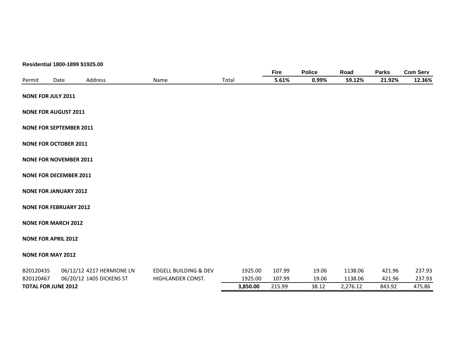|           |                                | Residential 1800-1899 \$1925.00 |                                  |          |             |               |          |              |                 |
|-----------|--------------------------------|---------------------------------|----------------------------------|----------|-------------|---------------|----------|--------------|-----------------|
|           |                                |                                 |                                  |          | <b>Fire</b> | <b>Police</b> | Road     | <b>Parks</b> | <b>Com Serv</b> |
| Permit    | Date                           | Address                         | Name                             | Total    | 5.61%       | 0.99%         | 59.12%   | 21.92%       | 12.36%          |
|           | <b>NONE FOR JULY 2011</b>      |                                 |                                  |          |             |               |          |              |                 |
|           | <b>NONE FOR AUGUST 2011</b>    |                                 |                                  |          |             |               |          |              |                 |
|           | <b>NONE FOR SEPTEMBER 2011</b> |                                 |                                  |          |             |               |          |              |                 |
|           | <b>NONE FOR OCTOBER 2011</b>   |                                 |                                  |          |             |               |          |              |                 |
|           | <b>NONE FOR NOVEMBER 2011</b>  |                                 |                                  |          |             |               |          |              |                 |
|           | <b>NONE FOR DECEMBER 2011</b>  |                                 |                                  |          |             |               |          |              |                 |
|           | <b>NONE FOR JANUARY 2012</b>   |                                 |                                  |          |             |               |          |              |                 |
|           | <b>NONE FOR FEBRUARY 2012</b>  |                                 |                                  |          |             |               |          |              |                 |
|           | <b>NONE FOR MARCH 2012</b>     |                                 |                                  |          |             |               |          |              |                 |
|           | <b>NONE FOR APRIL 2012</b>     |                                 |                                  |          |             |               |          |              |                 |
|           | <b>NONE FOR MAY 2012</b>       |                                 |                                  |          |             |               |          |              |                 |
| B20120435 |                                | 06/12/12 4217 HERMIONE LN       | <b>EDGELL BUILDING &amp; DEV</b> | 1925.00  | 107.99      | 19.06         | 1138.06  | 421.96       | 237.93          |
| B20120467 |                                | 06/20/12 1405 DICKENS ST        | HIGHLANDER CONST.                | 1925.00  | 107.99      | 19.06         | 1138.06  | 421.96       | 237.93          |
|           | <b>TOTAL FOR JUNE 2012</b>     |                                 |                                  | 3,850.00 | 215.99      | 38.12         | 2,276.12 | 843.92       | 475.86          |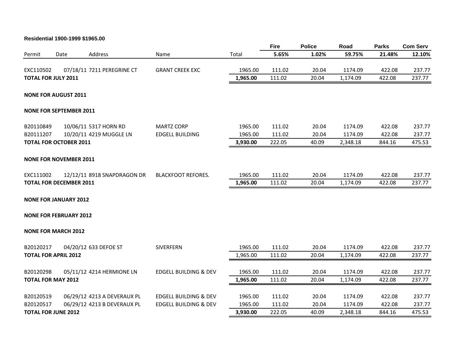#### **Residential 1900-1999 \$1965.00**

|                                |      |                             |                                  |          | <b>Fire</b> | <b>Police</b> | Road     | <b>Parks</b> | <b>Com Serv</b> |
|--------------------------------|------|-----------------------------|----------------------------------|----------|-------------|---------------|----------|--------------|-----------------|
| Permit                         | Date | Address                     | Name                             | Total    | 5.65%       | 1.02%         | 59.75%   | 21.48%       | 12.10%          |
| EXC110502                      |      | 07/18/11 7211 PEREGRINE CT  | <b>GRANT CREEK EXC</b>           | 1965.00  | 111.02      | 20.04         | 1174.09  | 422.08       | 237.77          |
| <b>TOTAL FOR JULY 2011</b>     |      |                             |                                  | 1,965.00 | 111.02      | 20.04         | 1,174.09 | 422.08       | 237.77          |
| <b>NONE FOR AUGUST 2011</b>    |      |                             |                                  |          |             |               |          |              |                 |
| <b>NONE FOR SEPTEMBER 2011</b> |      |                             |                                  |          |             |               |          |              |                 |
| B20110849                      |      | 10/06/11 5317 HORN RD       | <b>MARTZ CORP</b>                | 1965.00  | 111.02      | 20.04         | 1174.09  | 422.08       | 237.77          |
| B20111207                      |      | 10/20/11 4219 MUGGLE LN     | <b>EDGELL BUILDING</b>           | 1965.00  | 111.02      | 20.04         | 1174.09  | 422.08       | 237.77          |
| <b>TOTAL FOR OCTOBER 2011</b>  |      |                             |                                  | 3,930.00 | 222.05      | 40.09         | 2,348.18 | 844.16       | 475.53          |
| <b>NONE FOR NOVEMBER 2011</b>  |      |                             |                                  |          |             |               |          |              |                 |
| EXC111002                      |      | 12/12/11 8918 SNAPDRAGON DR | <b>BLACKFOOT REFORES.</b>        | 1965.00  | 111.02      | 20.04         | 1174.09  | 422.08       | 237.77          |
| <b>TOTAL FOR DECEMBER 2011</b> |      |                             |                                  | 1,965.00 | 111.02      | 20.04         | 1,174.09 | 422.08       | 237.77          |
| <b>NONE FOR JANUARY 2012</b>   |      |                             |                                  |          |             |               |          |              |                 |
| <b>NONE FOR FEBRUARY 2012</b>  |      |                             |                                  |          |             |               |          |              |                 |
| <b>NONE FOR MARCH 2012</b>     |      |                             |                                  |          |             |               |          |              |                 |
| B20120217                      |      | 04/20/12 633 DEFOE ST       | SIVERFERN                        | 1965.00  | 111.02      | 20.04         | 1174.09  | 422.08       | 237.77          |
| <b>TOTAL FOR APRIL 2012</b>    |      |                             |                                  | 1,965.00 | 111.02      | 20.04         | 1,174.09 | 422.08       | 237.77          |
| B20120298                      |      | 05/11/12 4214 HERMIONE LN   | <b>EDGELL BUILDING &amp; DEV</b> | 1965.00  | 111.02      | 20.04         | 1174.09  | 422.08       | 237.77          |
| <b>TOTAL FOR MAY 2012</b>      |      |                             |                                  | 1,965.00 | 111.02      | 20.04         | 1,174.09 | 422.08       | 237.77          |
| B20120519                      |      | 06/29/12 4213 A DEVERAUX PL | <b>EDGELL BUILDING &amp; DEV</b> | 1965.00  | 111.02      | 20.04         | 1174.09  | 422.08       | 237.77          |
| B20120517                      |      | 06/29/12 4213 B DEVERAUX PL | <b>EDGELL BUILDING &amp; DEV</b> | 1965.00  | 111.02      | 20.04         | 1174.09  | 422.08       | 237.77          |
| <b>TOTAL FOR JUNE 2012</b>     |      |                             |                                  | 3,930.00 | 222.05      | 40.09         | 2,348.18 | 844.16       | 475.53          |
|                                |      |                             |                                  |          |             |               |          |              |                 |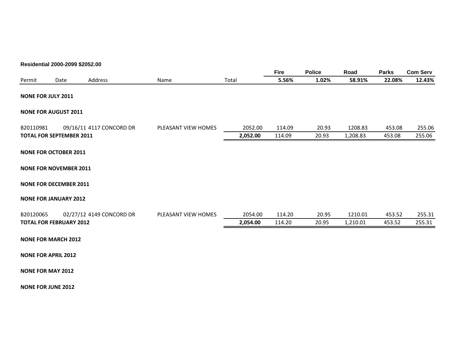#### **Residential 2000-2099 \$2052.00**

|                            |                                 |                          |                     |          | <b>Fire</b> | <b>Police</b> | Road     | <b>Parks</b> | <b>Com Serv</b> |
|----------------------------|---------------------------------|--------------------------|---------------------|----------|-------------|---------------|----------|--------------|-----------------|
| Permit                     | Date                            | Address                  | Name                | Total    | 5.56%       | 1.02%         | 58.91%   | 22.08%       | 12.43%          |
| <b>NONE FOR JULY 2011</b>  |                                 |                          |                     |          |             |               |          |              |                 |
|                            | <b>NONE FOR AUGUST 2011</b>     |                          |                     |          |             |               |          |              |                 |
| B20110981                  |                                 | 09/16/11 4117 CONCORD DR | PLEASANT VIEW HOMES | 2052.00  | 114.09      | 20.93         | 1208.83  | 453.08       | 255.06          |
|                            | <b>TOTAL FOR SEPTEMBER 2011</b> |                          |                     | 2,052.00 | 114.09      | 20.93         | 1,208.83 | 453.08       | 255.06          |
|                            | <b>NONE FOR OCTOBER 2011</b>    |                          |                     |          |             |               |          |              |                 |
|                            | <b>NONE FOR NOVEMBER 2011</b>   |                          |                     |          |             |               |          |              |                 |
|                            | <b>NONE FOR DECEMBER 2011</b>   |                          |                     |          |             |               |          |              |                 |
|                            | <b>NONE FOR JANUARY 2012</b>    |                          |                     |          |             |               |          |              |                 |
| B20120065                  |                                 | 02/27/12 4149 CONCORD DR | PLEASANT VIEW HOMES | 2054.00  | 114.20      | 20.95         | 1210.01  | 453.52       | 255.31          |
|                            | <b>TOTAL FOR FEBRUARY 2012</b>  |                          |                     | 2,054.00 | 114.20      | 20.95         | 1,210.01 | 453.52       | 255.31          |
|                            | <b>NONE FOR MARCH 2012</b>      |                          |                     |          |             |               |          |              |                 |
| <b>NONE FOR APRIL 2012</b> |                                 |                          |                     |          |             |               |          |              |                 |
| <b>NONE FOR MAY 2012</b>   |                                 |                          |                     |          |             |               |          |              |                 |

**NONE FOR JUNE 2012**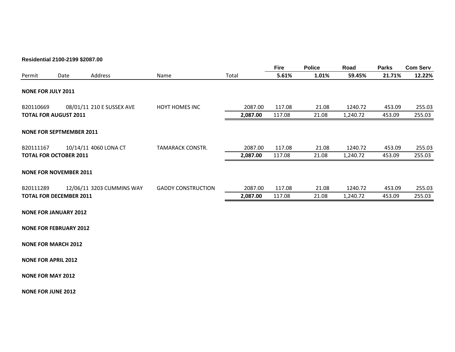#### **Residential 2100-2199 \$2087.00**

|                           |                                 |                           |                           |          | <b>Fire</b> | <b>Police</b> | Road     | <b>Parks</b> | <b>Com Serv</b> |
|---------------------------|---------------------------------|---------------------------|---------------------------|----------|-------------|---------------|----------|--------------|-----------------|
| Permit                    | Date                            | Address                   | Name                      | Total    | 5.61%       | 1.01%         | 59.45%   | 21.71%       | 12.22%          |
| <b>NONE FOR JULY 2011</b> |                                 |                           |                           |          |             |               |          |              |                 |
| B20110669                 |                                 | 08/01/11 210 E SUSSEX AVE | <b>HOYT HOMES INC</b>     | 2087.00  | 117.08      | 21.08         | 1240.72  | 453.09       | 255.03          |
|                           | <b>TOTAL FOR AUGUST 2011</b>    |                           |                           | 2,087.00 | 117.08      | 21.08         | 1,240.72 | 453.09       | 255.03          |
| B20111167                 | <b>NONE FOR SEPTMEMBER 2011</b> | 10/14/11 4060 LONA CT     | TAMARACK CONSTR.          | 2087.00  | 117.08      | 21.08         | 1240.72  | 453.09       | 255.03          |
|                           | <b>TOTAL FOR OCTOBER 2011</b>   |                           |                           | 2,087.00 | 117.08      | 21.08         | 1,240.72 | 453.09       | 255.03          |
|                           | <b>NONE FOR NOVEMBER 2011</b>   |                           |                           |          |             |               |          |              |                 |
| B20111289                 |                                 | 12/06/11 3203 CUMMINS WAY | <b>GADDY CONSTRUCTION</b> | 2087.00  | 117.08      | 21.08         | 1240.72  | 453.09       | 255.03          |
|                           | <b>TOTAL FOR DECEMBER 2011</b>  |                           |                           | 2,087.00 | 117.08      | 21.08         | 1,240.72 | 453.09       | 255.03          |
|                           |                                 |                           |                           |          |             |               |          |              |                 |

**NONE FOR JANUARY 2012**

**NONE FOR FEBRUARY 2012**

**NONE FOR MARCH 2012**

**NONE FOR APRIL 2012**

**NONE FOR MAY 2012**

**NONE FOR JUNE 2012**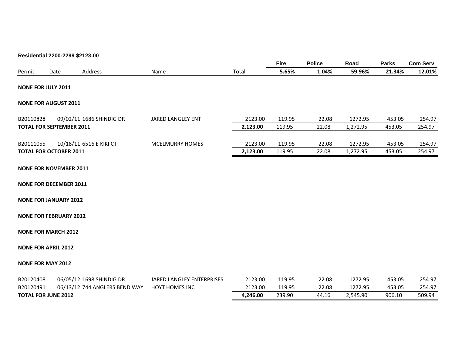#### **Residential 2200-2299 \$2123.00**

|                               |      |                                 |                          |          | <b>Fire</b> | <b>Police</b> | Road     | <b>Parks</b> | <b>Com Serv</b> |
|-------------------------------|------|---------------------------------|--------------------------|----------|-------------|---------------|----------|--------------|-----------------|
| Permit                        | Date | Address                         | Name                     | Total    | 5.65%       | 1.04%         | 59.96%   | 21.34%       | 12.01%          |
| <b>NONE FOR JULY 2011</b>     |      |                                 |                          |          |             |               |          |              |                 |
| <b>NONE FOR AUGUST 2011</b>   |      |                                 |                          |          |             |               |          |              |                 |
| B20110828                     |      | 09/02/11 1686 SHINDIG DR        | <b>JARED LANGLEY ENT</b> | 2123.00  | 119.95      | 22.08         | 1272.95  | 453.05       | 254.97          |
|                               |      | <b>TOTAL FOR SEPTEMBER 2011</b> |                          | 2,123.00 | 119.95      | 22.08         | 1,272.95 | 453.05       | 254.97          |
| B20111055                     |      | 10/18/11 6516 E KIKI CT         | <b>MCELMURRY HOMES</b>   | 2123.00  | 119.95      | 22.08         | 1272.95  | 453.05       | 254.97          |
| <b>TOTAL FOR OCTOBER 2011</b> |      |                                 |                          | 2,123.00 | 119.95      | 22.08         | 1,272.95 | 453.05       | 254.97          |
|                               |      |                                 |                          |          |             |               |          |              |                 |

#### **NONE FOR NOVEMBER 2011**

**NONE FOR DECEMBER 2011**

#### **NONE FOR JANUARY 2012**

#### **NONE FOR FEBRUARY 2012**

#### **NONE FOR MARCH 2012**

#### **NONE FOR APRIL 2012**

#### **NONE FOR MAY 2012**

| B20120408                  | 06/05/12 1698 SHINDIG DR      | JARED LANGLEY ENTERPRISES | 2123.00  | 119.95 | 22.08 | 1272.95  | 453.05 | 254.97 |
|----------------------------|-------------------------------|---------------------------|----------|--------|-------|----------|--------|--------|
| B20120491                  | 06/13/12 744 ANGLERS BEND WAY | <b>HOYT HOMES INC</b>     | 2123.00  | 119.95 | 22.08 | 1272.95  | 453.05 | 254.97 |
| <b>TOTAL FOR JUNE 2012</b> |                               |                           | 4.246.00 | 239.90 | 44.16 | 2.545.90 | 906.10 | 509.94 |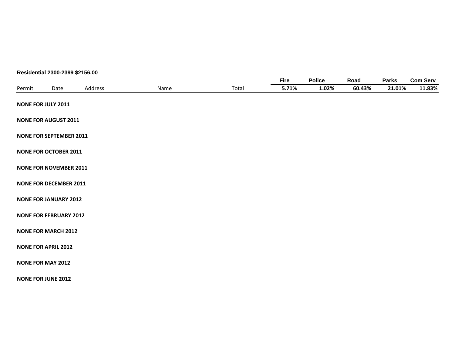#### **Residential 2300-2399 \$2156.00**

|        |                                |         |      |       | <b>Fire</b> | <b>Police</b> | Road   | <b>Parks</b> | <b>Com Serv</b> |
|--------|--------------------------------|---------|------|-------|-------------|---------------|--------|--------------|-----------------|
| Permit | Date                           | Address | Name | Total | 5.71%       | 1.02%         | 60.43% | 21.01%       | 11.83%          |
|        | <b>NONE FOR JULY 2011</b>      |         |      |       |             |               |        |              |                 |
|        | <b>NONE FOR AUGUST 2011</b>    |         |      |       |             |               |        |              |                 |
|        | <b>NONE FOR SEPTEMBER 2011</b> |         |      |       |             |               |        |              |                 |
|        | <b>NONE FOR OCTOBER 2011</b>   |         |      |       |             |               |        |              |                 |
|        | <b>NONE FOR NOVEMBER 2011</b>  |         |      |       |             |               |        |              |                 |
|        | <b>NONE FOR DECEMBER 2011</b>  |         |      |       |             |               |        |              |                 |
|        | <b>NONE FOR JANUARY 2012</b>   |         |      |       |             |               |        |              |                 |
|        | <b>NONE FOR FEBRUARY 2012</b>  |         |      |       |             |               |        |              |                 |
|        | <b>NONE FOR MARCH 2012</b>     |         |      |       |             |               |        |              |                 |
|        | <b>NONE FOR APRIL 2012</b>     |         |      |       |             |               |        |              |                 |
|        | <b>NONE FOR MAY 2012</b>       |         |      |       |             |               |        |              |                 |
|        |                                |         |      |       |             |               |        |              |                 |

**NONE FOR JUNE 2012**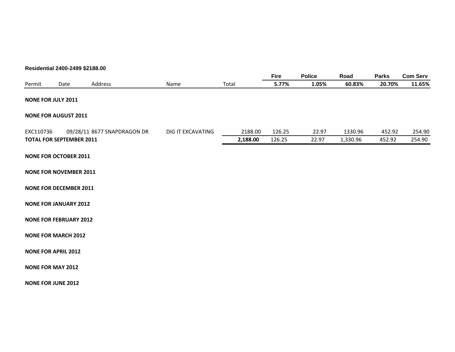#### **Residential 2400-2499 \$2188.00**

|                            |                                 |                             |                   |          | <b>Fire</b> | <b>Police</b> | Road     | <b>Parks</b> | <b>Com Serv</b> |
|----------------------------|---------------------------------|-----------------------------|-------------------|----------|-------------|---------------|----------|--------------|-----------------|
| Permit                     | Date                            | Address                     | Name              | Total    | 5.77%       | 1.05%         | 60.83%   | 20.70%       | 11.65%          |
| <b>NONE FOR JULY 2011</b>  |                                 |                             |                   |          |             |               |          |              |                 |
|                            | <b>NONE FOR AUGUST 2011</b>     |                             |                   |          |             |               |          |              |                 |
| EXC110736                  |                                 | 09/28/11 8677 SNAPDRAGON DR | DIG IT EXCAVATING | 2188.00  | 126.25      | 22.97         | 1330.96  | 452.92       | 254.90          |
|                            | <b>TOTAL FOR SEPTEMBER 2011</b> |                             |                   | 2,188.00 | 126.25      | 22.97         | 1,330.96 | 452.92       | 254.90          |
|                            | <b>NONE FOR OCTOBER 2011</b>    |                             |                   |          |             |               |          |              |                 |
|                            | <b>NONE FOR NOVEMBER 2011</b>   |                             |                   |          |             |               |          |              |                 |
|                            | <b>NONE FOR DECEMBER 2011</b>   |                             |                   |          |             |               |          |              |                 |
|                            | <b>NONE FOR JANUARY 2012</b>    |                             |                   |          |             |               |          |              |                 |
|                            | <b>NONE FOR FEBRUARY 2012</b>   |                             |                   |          |             |               |          |              |                 |
|                            | <b>NONE FOR MARCH 2012</b>      |                             |                   |          |             |               |          |              |                 |
| <b>NONE FOR APRIL 2012</b> |                                 |                             |                   |          |             |               |          |              |                 |
| <b>NONE FOR MAY 2012</b>   |                                 |                             |                   |          |             |               |          |              |                 |
| <b>NONE FOR JUNE 2012</b>  |                                 |                             |                   |          |             |               |          |              |                 |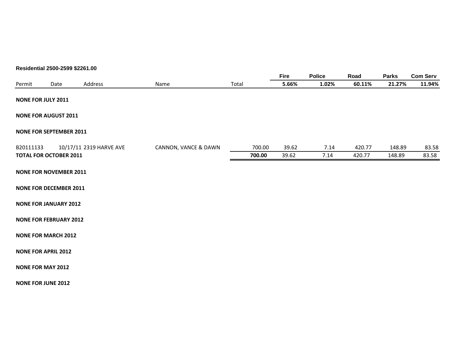#### **Residential 2500-2599 \$2261.00**

|                                |      |                         |                      |       |        | Fire  | <b>Police</b> | Road   | <b>Parks</b> | <b>Com Serv</b> |
|--------------------------------|------|-------------------------|----------------------|-------|--------|-------|---------------|--------|--------------|-----------------|
| Permit                         | Date | Address                 | Name                 | Total |        | 5.66% | 1.02%         | 60.11% | 21.27%       | 11.94%          |
| <b>NONE FOR JULY 2011</b>      |      |                         |                      |       |        |       |               |        |              |                 |
| <b>NONE FOR AUGUST 2011</b>    |      |                         |                      |       |        |       |               |        |              |                 |
| <b>NONE FOR SEPTEMBER 2011</b> |      |                         |                      |       |        |       |               |        |              |                 |
| B20111133                      |      | 10/17/11 2319 HARVE AVE | CANNON, VANCE & DAWN |       | 700.00 | 39.62 | 7.14          | 420.77 | 148.89       | 83.58           |
| <b>TOTAL FOR OCTOBER 2011</b>  |      |                         |                      |       | 700.00 | 39.62 | 7.14          | 420.77 | 148.89       | 83.58           |
| <b>NONE FOR NOVEMBER 2011</b>  |      |                         |                      |       |        |       |               |        |              |                 |
| <b>NONE FOR DECEMBER 2011</b>  |      |                         |                      |       |        |       |               |        |              |                 |
| <b>NONE FOR JANUARY 2012</b>   |      |                         |                      |       |        |       |               |        |              |                 |
| <b>NONE FOR FEBRUARY 2012</b>  |      |                         |                      |       |        |       |               |        |              |                 |
| <b>NONE FOR MARCH 2012</b>     |      |                         |                      |       |        |       |               |        |              |                 |
| <b>NONE FOR APRIL 2012</b>     |      |                         |                      |       |        |       |               |        |              |                 |
| <b>NONE FOR MAY 2012</b>       |      |                         |                      |       |        |       |               |        |              |                 |
| <b>NONE FOR JUNE 2012</b>      |      |                         |                      |       |        |       |               |        |              |                 |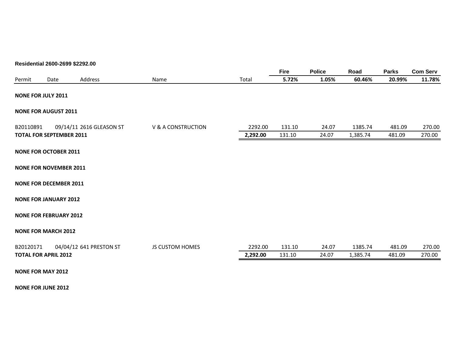#### **Residential 2600-2699 \$2292.00**

|           |                                 |                          |                        |          | <b>Fire</b> | <b>Police</b> | Road     | <b>Parks</b> | <b>Com Serv</b> |
|-----------|---------------------------------|--------------------------|------------------------|----------|-------------|---------------|----------|--------------|-----------------|
| Permit    | Date                            | Address                  | Name                   | Total    | 5.72%       | 1.05%         | 60.46%   | 20.99%       | 11.78%          |
|           | <b>NONE FOR JULY 2011</b>       |                          |                        |          |             |               |          |              |                 |
|           | <b>NONE FOR AUGUST 2011</b>     |                          |                        |          |             |               |          |              |                 |
| B20110891 |                                 | 09/14/11 2616 GLEASON ST | V & A CONSTRUCTION     | 2292.00  | 131.10      | 24.07         | 1385.74  | 481.09       | 270.00          |
|           | <b>TOTAL FOR SEPTEMBER 2011</b> |                          |                        | 2,292.00 | 131.10      | 24.07         | 1,385.74 | 481.09       | 270.00          |
|           | <b>NONE FOR OCTOBER 2011</b>    |                          |                        |          |             |               |          |              |                 |
|           | <b>NONE FOR NOVEMBER 2011</b>   |                          |                        |          |             |               |          |              |                 |
|           | <b>NONE FOR DECEMBER 2011</b>   |                          |                        |          |             |               |          |              |                 |
|           | <b>NONE FOR JANUARY 2012</b>    |                          |                        |          |             |               |          |              |                 |
|           | <b>NONE FOR FEBRUARY 2012</b>   |                          |                        |          |             |               |          |              |                 |
|           | <b>NONE FOR MARCH 2012</b>      |                          |                        |          |             |               |          |              |                 |
| B20120171 |                                 | 04/04/12 641 PRESTON ST  | <b>JS CUSTOM HOMES</b> | 2292.00  | 131.10      | 24.07         | 1385.74  | 481.09       | 270.00          |
|           | <b>TOTAL FOR APRIL 2012</b>     |                          |                        | 2,292.00 | 131.10      | 24.07         | 1,385.74 | 481.09       | 270.00          |
|           | <b>NONE FOR MAY 2012</b>        |                          |                        |          |             |               |          |              |                 |

**NONE FOR JUNE 2012**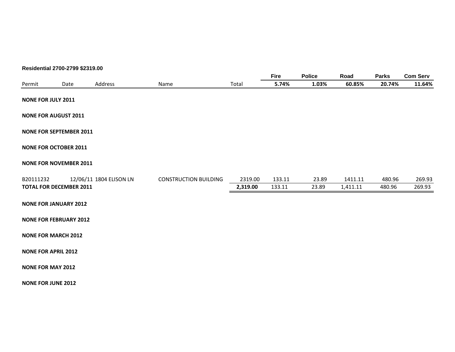#### **Residential 2700-2799 \$2319.00**

|                                |      |                         |                              |          | <b>Fire</b> | <b>Police</b> | Road     | <b>Parks</b> | <b>Com Serv</b> |
|--------------------------------|------|-------------------------|------------------------------|----------|-------------|---------------|----------|--------------|-----------------|
| Permit                         | Date | Address                 | Name                         | Total    | 5.74%       | 1.03%         | 60.85%   | 20.74%       | 11.64%          |
| <b>NONE FOR JULY 2011</b>      |      |                         |                              |          |             |               |          |              |                 |
| <b>NONE FOR AUGUST 2011</b>    |      |                         |                              |          |             |               |          |              |                 |
| <b>NONE FOR SEPTEMBER 2011</b> |      |                         |                              |          |             |               |          |              |                 |
| <b>NONE FOR OCTOBER 2011</b>   |      |                         |                              |          |             |               |          |              |                 |
| <b>NONE FOR NOVEMBER 2011</b>  |      |                         |                              |          |             |               |          |              |                 |
| B20111232                      |      | 12/06/11 1804 ELISON LN | <b>CONSTRUCTION BUILDING</b> | 2319.00  | 133.11      | 23.89         | 1411.11  | 480.96       | 269.93          |
| <b>TOTAL FOR DECEMBER 2011</b> |      |                         |                              | 2,319.00 | 133.11      | 23.89         | 1,411.11 | 480.96       | 269.93          |
| <b>NONE FOR JANUARY 2012</b>   |      |                         |                              |          |             |               |          |              |                 |
| <b>NONE FOR FEBRUARY 2012</b>  |      |                         |                              |          |             |               |          |              |                 |
| <b>NONE FOR MARCH 2012</b>     |      |                         |                              |          |             |               |          |              |                 |
| <b>NONE FOR APRIL 2012</b>     |      |                         |                              |          |             |               |          |              |                 |
| <b>NONE FOR MAY 2012</b>       |      |                         |                              |          |             |               |          |              |                 |
| <b>NONE FOR JUNE 2012</b>      |      |                         |                              |          |             |               |          |              |                 |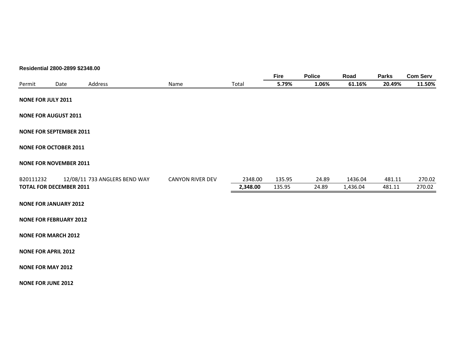#### **Residential 2800-2899 \$2348.00**

|           |                                |                               |                         |          | <b>Fire</b> | <b>Police</b> | Road     | <b>Parks</b> | <b>Com Serv</b> |
|-----------|--------------------------------|-------------------------------|-------------------------|----------|-------------|---------------|----------|--------------|-----------------|
| Permit    | Date                           | Address                       | Name                    | Total    | 5.79%       | 1.06%         | 61.16%   | 20.49%       | 11.50%          |
|           | <b>NONE FOR JULY 2011</b>      |                               |                         |          |             |               |          |              |                 |
|           | <b>NONE FOR AUGUST 2011</b>    |                               |                         |          |             |               |          |              |                 |
|           | <b>NONE FOR SEPTEMBER 2011</b> |                               |                         |          |             |               |          |              |                 |
|           | <b>NONE FOR OCTOBER 2011</b>   |                               |                         |          |             |               |          |              |                 |
|           | <b>NONE FOR NOVEMBER 2011</b>  |                               |                         |          |             |               |          |              |                 |
| B20111232 |                                | 12/08/11 733 ANGLERS BEND WAY | <b>CANYON RIVER DEV</b> | 2348.00  | 135.95      | 24.89         | 1436.04  | 481.11       | 270.02          |
|           | <b>TOTAL FOR DECEMBER 2011</b> |                               |                         | 2,348.00 | 135.95      | 24.89         | 1,436.04 | 481.11       | 270.02          |
|           | <b>NONE FOR JANUARY 2012</b>   |                               |                         |          |             |               |          |              |                 |
|           | <b>NONE FOR FEBRUARY 2012</b>  |                               |                         |          |             |               |          |              |                 |
|           | <b>NONE FOR MARCH 2012</b>     |                               |                         |          |             |               |          |              |                 |
|           | <b>NONE FOR APRIL 2012</b>     |                               |                         |          |             |               |          |              |                 |
|           | <b>NONE FOR MAY 2012</b>       |                               |                         |          |             |               |          |              |                 |
|           | <b>NONE FOR JUNE 2012</b>      |                               |                         |          |             |               |          |              |                 |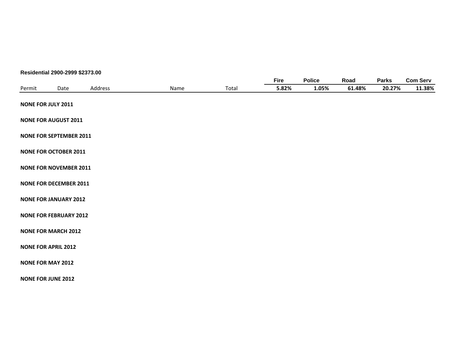#### **Residential 2900-2999 \$2373.00**

|        |                                |         |      |       | <b>Fire</b> | <b>Police</b> | Road   | <b>Parks</b> | <b>Com Serv</b> |
|--------|--------------------------------|---------|------|-------|-------------|---------------|--------|--------------|-----------------|
| Permit | Date                           | Address | Name | Total | 5.82%       | 1.05%         | 61.48% | 20.27%       | 11.38%          |
|        | <b>NONE FOR JULY 2011</b>      |         |      |       |             |               |        |              |                 |
|        | <b>NONE FOR AUGUST 2011</b>    |         |      |       |             |               |        |              |                 |
|        | <b>NONE FOR SEPTEMBER 2011</b> |         |      |       |             |               |        |              |                 |
|        | <b>NONE FOR OCTOBER 2011</b>   |         |      |       |             |               |        |              |                 |
|        | <b>NONE FOR NOVEMBER 2011</b>  |         |      |       |             |               |        |              |                 |
|        | <b>NONE FOR DECEMBER 2011</b>  |         |      |       |             |               |        |              |                 |
|        | <b>NONE FOR JANUARY 2012</b>   |         |      |       |             |               |        |              |                 |
|        | <b>NONE FOR FEBRUARY 2012</b>  |         |      |       |             |               |        |              |                 |
|        | <b>NONE FOR MARCH 2012</b>     |         |      |       |             |               |        |              |                 |
|        | <b>NONE FOR APRIL 2012</b>     |         |      |       |             |               |        |              |                 |
|        | <b>NONE FOR MAY 2012</b>       |         |      |       |             |               |        |              |                 |
|        | <b>NONE FOR JUNE 2012</b>      |         |      |       |             |               |        |              |                 |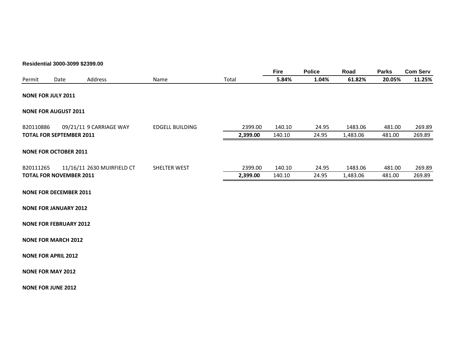#### **Residential 3000-3099 \$2399.00**

|                               |      |                                 |                        |          | <b>Fire</b> | <b>Police</b> | Road     | <b>Parks</b> | <b>Com Serv</b> |
|-------------------------------|------|---------------------------------|------------------------|----------|-------------|---------------|----------|--------------|-----------------|
| Permit                        | Date | Address                         | Name                   | Total    | 5.84%       | 1.04%         | 61.82%   | 20.05%       | 11.25%          |
| <b>NONE FOR JULY 2011</b>     |      |                                 |                        |          |             |               |          |              |                 |
| <b>NONE FOR AUGUST 2011</b>   |      |                                 |                        |          |             |               |          |              |                 |
| B20110886                     |      | 09/21/11 9 CARRIAGE WAY         | <b>EDGELL BUILDING</b> | 2399.00  | 140.10      | 24.95         | 1483.06  | 481.00       | 269.89          |
|                               |      | <b>TOTAL FOR SEPTEMBER 2011</b> |                        | 2,399.00 | 140.10      | 24.95         | 1,483.06 | 481.00       | 269.89          |
| <b>NONE FOR OCTOBER 2011</b>  |      |                                 |                        |          |             |               |          |              |                 |
| B20111265                     |      | 11/16/11 2630 MUIRFIELD CT      | <b>SHELTER WEST</b>    | 2399.00  | 140.10      | 24.95         | 1483.06  | 481.00       | 269.89          |
|                               |      | <b>TOTAL FOR NOVEMBER 2011</b>  |                        | 2,399.00 | 140.10      | 24.95         | 1,483.06 | 481.00       | 269.89          |
| <b>NONE FOR DECEMBER 2011</b> |      |                                 |                        |          |             |               |          |              |                 |
| <b>NONE FOR JANUARY 2012</b>  |      |                                 |                        |          |             |               |          |              |                 |
| <b>NONE FOR FEBRUARY 2012</b> |      |                                 |                        |          |             |               |          |              |                 |
| <b>NONE FOR MARCH 2012</b>    |      |                                 |                        |          |             |               |          |              |                 |
| <b>NONE FOR APRIL 2012</b>    |      |                                 |                        |          |             |               |          |              |                 |
| <b>NONE FOR MAY 2012</b>      |      |                                 |                        |          |             |               |          |              |                 |
| <b>NONE FOR JUNE 2012</b>     |      |                                 |                        |          |             |               |          |              |                 |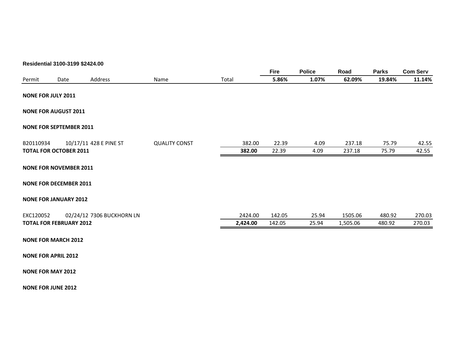#### **Residential 3100-3199 \$2424.00**

|           |                                |                           |                      |          | <b>Fire</b> | <b>Police</b> | Road     | <b>Parks</b> | <b>Com Serv</b> |
|-----------|--------------------------------|---------------------------|----------------------|----------|-------------|---------------|----------|--------------|-----------------|
| Permit    | Date                           | Address                   | Name                 | Total    | 5.86%       | 1.07%         | 62.09%   | 19.84%       | 11.14%          |
|           | <b>NONE FOR JULY 2011</b>      |                           |                      |          |             |               |          |              |                 |
|           | <b>NONE FOR AUGUST 2011</b>    |                           |                      |          |             |               |          |              |                 |
|           | <b>NONE FOR SEPTEMBER 2011</b> |                           |                      |          |             |               |          |              |                 |
| B20110934 |                                | 10/17/11 428 E PINE ST    | <b>QUALITY CONST</b> | 382.00   | 22.39       | 4.09          | 237.18   | 75.79        | 42.55           |
|           | <b>TOTAL FOR OCTOBER 2011</b>  |                           |                      | 382.00   | 22.39       | 4.09          | 237.18   | 75.79        | 42.55           |
|           | <b>NONE FOR NOVEMBER 2011</b>  |                           |                      |          |             |               |          |              |                 |
|           | <b>NONE FOR DECEMBER 2011</b>  |                           |                      |          |             |               |          |              |                 |
|           | <b>NONE FOR JANUARY 2012</b>   |                           |                      |          |             |               |          |              |                 |
| EXC120052 |                                | 02/24/12 7306 BUCKHORN LN |                      | 2424.00  | 142.05      | 25.94         | 1505.06  | 480.92       | 270.03          |
|           | <b>TOTAL FOR FEBRUARY 2012</b> |                           |                      | 2,424.00 | 142.05      | 25.94         | 1,505.06 | 480.92       | 270.03          |
|           | <b>NONE FOR MARCH 2012</b>     |                           |                      |          |             |               |          |              |                 |
|           | <b>NONE FOR APRIL 2012</b>     |                           |                      |          |             |               |          |              |                 |
|           | <b>NONE FOR MAY 2012</b>       |                           |                      |          |             |               |          |              |                 |

**NONE FOR JUNE 2012**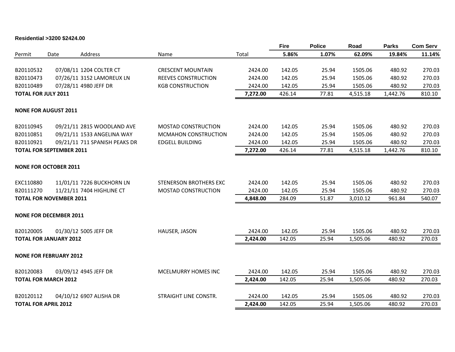#### **Residential >3200 \$2424.00**

|           |                                 |                               |                               |          | <b>Fire</b> | <b>Police</b> | Road     | <b>Parks</b> | <b>Com Serv</b> |
|-----------|---------------------------------|-------------------------------|-------------------------------|----------|-------------|---------------|----------|--------------|-----------------|
| Permit    | Date                            | Address                       | Name                          | Total    | 5.86%       | 1.07%         | 62.09%   | 19.84%       | 11.14%          |
|           |                                 |                               |                               |          |             |               |          |              |                 |
| B20110532 |                                 | 07/08/11 1204 COLTER CT       | <b>CRESCENT MOUNTAIN</b>      | 2424.00  | 142.05      | 25.94         | 1505.06  | 480.92       | 270.03          |
| B20110473 |                                 | 07/26/11 3152 LAMOREUX LN     | REEVES CONSTRUCTION           | 2424.00  | 142.05      | 25.94         | 1505.06  | 480.92       | 270.03          |
| B20110489 |                                 | 07/28/11 4980 JEFF DR         | <b>KGB CONSTRUCTION</b>       | 2424.00  | 142.05      | 25.94         | 1505.06  | 480.92       | 270.03          |
|           | <b>TOTAL FOR JULY 2011</b>      |                               |                               | 7,272.00 | 426.14      | 77.81         | 4,515.18 | 1,442.76     | 810.10          |
|           | <b>NONE FOR AUGUST 2011</b>     |                               |                               |          |             |               |          |              |                 |
|           |                                 |                               |                               |          |             |               |          |              |                 |
| B20110945 |                                 | 09/21/11 2815 WOODLAND AVE    | MOSTAD CONSTRUCTION           | 2424.00  | 142.05      | 25.94         | 1505.06  | 480.92       | 270.03          |
| B20110851 |                                 | 09/21/11 1533 ANGELINA WAY    | <b>MCMAHON CONSTRUCTION</b>   | 2424.00  | 142.05      | 25.94         | 1505.06  | 480.92       | 270.03          |
| B20110921 |                                 | 09/21/11 711 SPANISH PEAKS DR | <b>EDGELL BUILDING</b>        | 2424.00  | 142.05      | 25.94         | 1505.06  | 480.92       | 270.03          |
|           | <b>TOTAL FOR SEPTEMBER 2011</b> |                               |                               | 7,272.00 | 426.14      | 77.81         | 4,515.18 | 1,442.76     | 810.10          |
|           |                                 |                               |                               |          |             |               |          |              |                 |
|           | <b>NONE FOR OCTOBER 2011</b>    |                               |                               |          |             |               |          |              |                 |
| EXC110880 |                                 | 11/01/11 7226 BUCKHORN LN     | <b>STENERSON BROTHERS EXC</b> | 2424.00  | 142.05      | 25.94         | 1505.06  | 480.92       | 270.03          |
| B20111270 |                                 | 11/21/11 7404 HIGHLINE CT     | MOSTAD CONSTRUCTION           | 2424.00  | 142.05      | 25.94         | 1505.06  | 480.92       | 270.03          |
|           | <b>TOTAL FOR NOVEMBER 2011</b>  |                               |                               | 4,848.00 | 284.09      | 51.87         | 3,010.12 | 961.84       | 540.07          |
|           |                                 |                               |                               |          |             |               |          |              |                 |
|           | <b>NONE FOR DECEMBER 2011</b>   |                               |                               |          |             |               |          |              |                 |
| B20120005 |                                 | 01/30/12 5005 JEFF DR         | HAUSER, JASON                 | 2424.00  | 142.05      | 25.94         | 1505.06  | 480.92       | 270.03          |
|           | <b>TOTAL FOR JANUARY 2012</b>   |                               |                               | 2,424.00 | 142.05      | 25.94         | 1,505.06 | 480.92       | 270.03          |
|           |                                 |                               |                               |          |             |               |          |              |                 |
|           | <b>NONE FOR FEBRUARY 2012</b>   |                               |                               |          |             |               |          |              |                 |
| B20120083 |                                 | 03/09/12 4945 JEFF DR         | MCELMURRY HOMES INC           | 2424.00  | 142.05      | 25.94         | 1505.06  | 480.92       | 270.03          |
|           | <b>TOTAL FOR MARCH 2012</b>     |                               |                               | 2,424.00 | 142.05      | 25.94         | 1,505.06 | 480.92       | 270.03          |
|           |                                 |                               |                               |          |             |               |          |              |                 |
| B20120112 |                                 | 04/10/12 6907 ALISHA DR       | STRAIGHT LINE CONSTR.         | 2424.00  | 142.05      | 25.94         | 1505.06  | 480.92       | 270.03          |
|           | <b>TOTAL FOR APRIL 2012</b>     |                               |                               | 2,424.00 | 142.05      | 25.94         | 1,505.06 | 480.92       | 270.03          |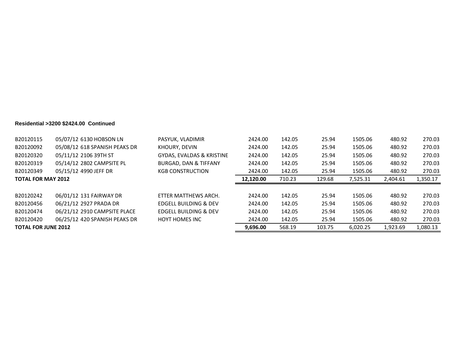#### **Residential >3200 \$2424.00 Continued**

| B20120115                 | 05/07/12 6130 HOBSON LN       | PASYUK, VLADIMIR                     | 2424.00   | 142.05 | 25.94  | 1505.06  | 480.92   | 270.03   |
|---------------------------|-------------------------------|--------------------------------------|-----------|--------|--------|----------|----------|----------|
| B20120092                 | 05/08/12 618 SPANISH PEAKS DR | KHOURY, DEVIN                        | 2424.00   | 142.05 | 25.94  | 1505.06  | 480.92   | 270.03   |
| B20120320                 | 05/11/12 2106 39TH ST         | <b>GYDAS, EVALDAS &amp; KRISTINE</b> | 2424.00   | 142.05 | 25.94  | 1505.06  | 480.92   | 270.03   |
| B20120319                 | 05/14/12 2802 CAMPSITE PL     | <b>BURGAD, DAN &amp; TIFFANY</b>     | 2424.00   | 142.05 | 25.94  | 1505.06  | 480.92   | 270.03   |
| B20120349                 | 05/15/12 4990 JEFF DR         | <b>KGB CONSTRUCTION</b>              | 2424.00   | 142.05 | 25.94  | 1505.06  | 480.92   | 270.03   |
| <b>TOTAL FOR MAY 2012</b> |                               |                                      | 12,120.00 | 710.23 | 129.68 | 7.525.31 | 2.404.61 | 1,350.17 |
|                           |                               |                                      |           |        |        |          |          |          |
|                           |                               |                                      |           |        |        |          |          |          |
| B20120242                 | 06/01/12 131 FAIRWAY DR       | ETTER MATTHEWS ARCH.                 | 2424.00   | 142.05 | 25.94  | 1505.06  | 480.92   | 270.03   |
| B20120456                 | 06/21/12 2927 PRADA DR        | EDGELL BUILDING & DEV                | 2424.00   | 142.05 | 25.94  | 1505.06  | 480.92   | 270.03   |
| B20120474                 | 06/21/12 2910 CAMPSITE PLACE  | <b>EDGELL BUILDING &amp; DEV</b>     | 2424.00   | 142.05 | 25.94  | 1505.06  | 480.92   | 270.03   |
| B20120420                 | 06/25/12 420 SPANISH PEAKS DR | <b>HOYT HOMES INC</b>                | 2424.00   | 142.05 | 25.94  | 1505.06  | 480.92   | 270.03   |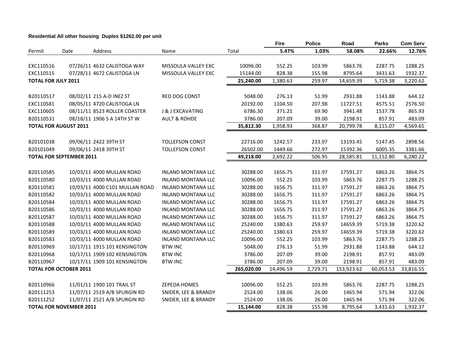#### **Residential All other housing Duplex \$1262.00 per unit**

|                            |                                 |                                |                           |            | <b>Fire</b> | <b>Police</b> | Road       | <b>Parks</b> | <b>Com Serv</b> |
|----------------------------|---------------------------------|--------------------------------|---------------------------|------------|-------------|---------------|------------|--------------|-----------------|
| Permit                     | Date                            | Address                        | Name                      | Total      | 5.47%       | 1.03%         | 58.08%     | 22.66%       | 12.76%          |
|                            |                                 |                                |                           |            |             |               |            |              |                 |
| EXC110516                  |                                 | 07/26/11 4632 CALISTOGA WAY    | MISSOULA VALLEY EXC       | 10096.00   | 552.25      | 103.99        | 5863.76    | 2287.75      | 1288.25         |
| EXC110515                  |                                 | 07/28/11 4672 CALISTOGA LN     | MISSOULA VALLEY EXC       | 15144.00   | 828.38      | 155.98        | 8795.64    | 3431.63      | 1932.37         |
| <b>TOTAL FOR JULY 2011</b> |                                 |                                |                           | 25,240.00  | 1,380.63    | 259.97        | 14,659.39  | 5,719.38     | 3,220.62        |
|                            |                                 |                                |                           |            |             |               |            |              |                 |
| B20110517                  |                                 | 08/02/11 215 A-D INEZ ST       | RED DOG CONST             | 5048.00    | 276.13      | 51.99         | 2931.88    | 1143.88      | 644.12          |
| EXC110581                  |                                 | 08/05/11 4720 CALISTOGA LN     |                           | 20192.00   | 1104.50     | 207.98        | 11727.51   | 4575.51      | 2576.50         |
| EXC110605                  |                                 | 08/11/11 8523 ROLLER COASTER   | J & J EXCAVATING          | 6786.30    | 371.21      | 69.90         | 3941.48    | 1537.78      | 865.93          |
| B20110531                  |                                 | 08/18/11 1906 S A 14TH ST W    | <b>AULT &amp; ROHDE</b>   | 3786.00    | 207.09      | 39.00         | 2198.91    | 857.91       | 483.09          |
|                            | <b>TOTAL FOR AUGUST 2011</b>    |                                |                           | 35,812.30  | 1,958.93    | 368.87        | 20,799.78  | 8,115.07     | 4,569.65        |
|                            |                                 |                                |                           |            |             |               |            |              |                 |
| B20101038                  |                                 | 09/06/11 2422 39TH ST          | <b>TOLLEFSON CONST</b>    | 22716.00   | 1242.57     | 233.97        | 13193.45   | 5147.45      | 2898.56         |
| B20101049                  |                                 | 09/06/11 2418 39TH ST          | <b>TOLLEFSON CONST</b>    | 26502.00   | 1449.66     | 272.97        | 15392.36   | 6005.35      | 3381.66         |
|                            | <b>TOTAL FOR SEPTEMBER 2011</b> |                                |                           | 49,218.00  | 2,692.22    | 506.95        | 28,585.81  | 11,152.80    | 6,280.22        |
|                            |                                 |                                |                           |            |             |               |            |              |                 |
| B20110585                  |                                 | 10/03/11 4000 MULLAN ROAD      | <b>INLAND MONTANA LLC</b> | 30288.00   | 1656.75     | 311.97        | 17591.27   | 6863.26      | 3864.75         |
| B20110580                  |                                 | 10/03/11 4000 MULLAN ROAD      | <b>INLAND MONTANA LLC</b> | 10096.00   | 552.25      | 103.99        | 5863.76    | 2287.75      | 1288.25         |
| B20110581                  |                                 | 10/03/11 4000 C101 MULLAN ROAD | <b>INLAND MONTANA LLC</b> | 30288.00   | 1656.75     | 311.97        | 17591.27   | 6863.26      | 3864.75         |
| B20110582                  |                                 | 10/03/11 4000 MULLAN ROAD      | <b>INLAND MONTANA LLC</b> | 30288.00   | 1656.75     | 311.97        | 17591.27   | 6863.26      | 3864.75         |
| B20110584                  |                                 | 10/03/11 4000 MULLAN ROAD      | <b>INLAND MONTANA LLC</b> | 30288.00   | 1656.75     | 311.97        | 17591.27   | 6863.26      | 3864.75         |
| B20110586                  |                                 | 10/03/11 4000 MULLAN ROAD      | <b>INLAND MONTANA LLC</b> | 30288.00   | 1656.75     | 311.97        | 17591.27   | 6863.26      | 3864.75         |
| B20110587                  |                                 | 10/03/11 4000 MULLAN ROAD      | <b>INLAND MONTANA LLC</b> | 30288.00   | 1656.75     | 311.97        | 17591.27   | 6863.26      | 3864.75         |
| B20110588                  |                                 | 10/03/11 4000 MULLAN ROAD      | <b>INLAND MONTANA LLC</b> | 25240.00   | 1380.63     | 259.97        | 14659.39   | 5719.38      | 3220.62         |
| B20110589                  |                                 | 10/03/11 4000 MULLAN ROAD      | <b>INLAND MONTANA LLC</b> | 25240.00   | 1380.63     | 259.97        | 14659.39   | 5719.38      | 3220.62         |
| B20110583                  |                                 | 10/03/11 4000 MULLAN ROAD      | <b>INLAND MONTANA LLC</b> | 10096.00   | 552.25      | 103.99        | 5863.76    | 2287.75      | 1288.25         |
| B20110969                  |                                 | 10/17/11 1915 101 KENSINGTON   | <b>BTW INC</b>            | 5048.00    | 276.13      | 51.99         | 2931.88    | 1143.88      | 644.12          |
| B20110968                  |                                 | 10/17/11 1909 102 KENSINGTON   | <b>BTW INC</b>            | 3786.00    | 207.09      | 39.00         | 2198.91    | 857.91       | 483.09          |
| B20110967                  |                                 | 10/17/11 1909 101 KENSINGTON   | <b>BTW INC</b>            | 3786.00    | 207.09      | 39.00         | 2198.91    | 857.91       | 483.09          |
|                            | <b>TOTAL FOR OCTOBER 2011</b>   |                                |                           | 265,020.00 | 14,496.59   | 2,729.71      | 153,923.62 | 60,053.53    | 33,816.55       |
|                            |                                 |                                |                           |            |             |               |            |              |                 |
| B20110966                  |                                 | 11/01/11 1900 101 TRAIL ST     | <b>ZEPEDA HOMES</b>       | 10096.00   | 552.25      | 103.99        | 5863.76    | 2287.75      | 1288.25         |
| B20111253                  |                                 | 11/07/11 2519 A/B SPURGIN RD   | SNIDER, LEE & BRANDY      | 2524.00    | 138.06      | 26.00         | 1465.94    | 571.94       | 322.06          |
| B20111252                  |                                 | 11/07/11 2521 A/B SPURGIN RD   | SNIDER, LEE & BRANDY      | 2524.00    | 138.06      | 26.00         | 1465.94    | 571.94       | 322.06          |
|                            | <b>TOTAL FOR NOVEMBER 2011</b>  |                                |                           | 15,144.00  | 828.38      | 155.98        | 8,795.64   | 3,431.63     | 1,932.37        |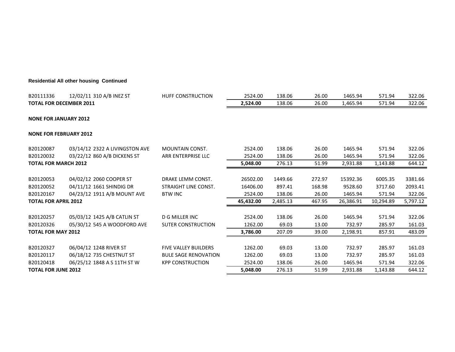#### **Residential All other housing Continued**

| B20111336                      | 12/02/11 310 A/B INEZ ST       | <b>HUFF CONSTRUCTION</b>    | 2524.00   | 138.06   | 26.00  | 1465.94   | 571.94    | 322.06   |
|--------------------------------|--------------------------------|-----------------------------|-----------|----------|--------|-----------|-----------|----------|
| <b>TOTAL FOR DECEMBER 2011</b> |                                |                             | 2,524.00  | 138.06   | 26.00  | 1,465.94  | 571.94    | 322.06   |
| <b>NONE FOR JANUARY 2012</b>   |                                |                             |           |          |        |           |           |          |
| <b>NONE FOR FEBRUARY 2012</b>  |                                |                             |           |          |        |           |           |          |
| B20120087                      | 03/14/12 2322 A LIVINGSTON AVE | <b>MOUNTAIN CONST.</b>      | 2524.00   | 138.06   | 26.00  | 1465.94   | 571.94    | 322.06   |
| B20120032                      | 03/22/12 860 A/B DICKENS ST    | ARR ENTERPRISE LLC          | 2524.00   | 138.06   | 26.00  | 1465.94   | 571.94    | 322.06   |
| <b>TOTAL FOR MARCH 2012</b>    |                                |                             | 5,048.00  | 276.13   | 51.99  | 2,931.88  | 1,143.88  | 644.12   |
|                                |                                |                             |           |          |        |           |           |          |
| B20120053                      | 04/02/12 2060 COOPER ST        | DRAKE LEMM CONST.           | 26502.00  | 1449.66  | 272.97 | 15392.36  | 6005.35   | 3381.66  |
| B20120052                      | 04/11/12 1661 SHINDIG DR       | STRAIGHT LINE CONST.        | 16406.00  | 897.41   | 168.98 | 9528.60   | 3717.60   | 2093.41  |
| B20120167                      | 04/23/12 1911 A/B MOUNT AVE    | <b>BTW INC</b>              | 2524.00   | 138.06   | 26.00  | 1465.94   | 571.94    | 322.06   |
| <b>TOTAL FOR APRIL 2012</b>    |                                |                             | 45,432.00 | 2,485.13 | 467.95 | 26,386.91 | 10,294.89 | 5,797.12 |
|                                |                                |                             |           |          |        |           |           |          |
| B20120257                      | 05/03/12 1425 A/B CATLIN ST    | D G MILLER INC              | 2524.00   | 138.06   | 26.00  | 1465.94   | 571.94    | 322.06   |
| B20120326                      | 05/30/12 545 A WOODFORD AVE    | <b>SUTER CONSTRUCTION</b>   | 1262.00   | 69.03    | 13.00  | 732.97    | 285.97    | 161.03   |
| <b>TOTAL FOR MAY 2012</b>      |                                |                             | 3,786.00  | 207.09   | 39.00  | 2,198.91  | 857.91    | 483.09   |
|                                |                                |                             |           |          |        |           |           |          |
| B20120327                      | 06/04/12 1248 RIVER ST         | <b>FIVE VALLEY BUILDERS</b> | 1262.00   | 69.03    | 13.00  | 732.97    | 285.97    | 161.03   |
| B20120117                      | 06/18/12 735 CHESTNUT ST       | <b>BULE SAGE RENOVATION</b> | 1262.00   | 69.03    | 13.00  | 732.97    | 285.97    | 161.03   |
| B20120418                      | 06/25/12 1848 A S 11TH ST W    | <b>KPP CONSTRUCTION</b>     | 2524.00   | 138.06   | 26.00  | 1465.94   | 571.94    | 322.06   |
| <b>TOTAL FOR JUNE 2012</b>     |                                |                             | 5,048.00  | 276.13   | 51.99  | 2,931.88  | 1,143.88  | 644.12   |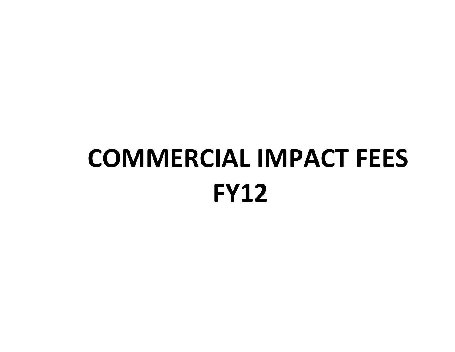## **COMMERCIAL IMPACT FEES FY12**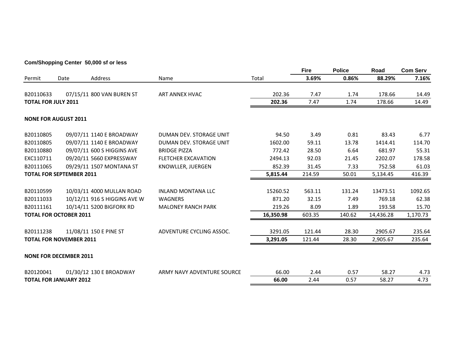#### **Com/Shopping Center 50,000 sf or less**

|                            |                                 |                              |                            |           | <b>Fire</b> | <b>Police</b> | Road      | <b>Com Serv</b> |
|----------------------------|---------------------------------|------------------------------|----------------------------|-----------|-------------|---------------|-----------|-----------------|
| Permit                     | Date                            | Address                      | Name                       | Total     | 3.69%       | 0.86%         | 88.29%    | 7.16%           |
| B20110633                  |                                 | 07/15/11 800 VAN BUREN ST    | ART ANNEX HVAC             | 202.36    | 7.47        | 1.74          | 178.66    | 14.49           |
| <b>TOTAL FOR JULY 2011</b> |                                 |                              |                            | 202.36    | 7.47        | 1.74          | 178.66    | 14.49           |
|                            | <b>NONE FOR AUGUST 2011</b>     |                              |                            |           |             |               |           |                 |
| B20110805                  |                                 | 09/07/11 1140 E BROADWAY     | DUMAN DEV. STORAGE UNIT    | 94.50     | 3.49        | 0.81          | 83.43     | 6.77            |
| B20110805                  |                                 | 09/07/11 1140 E BROADWAY     | DUMAN DEV. STORAGE UNIT    | 1602.00   | 59.11       | 13.78         | 1414.41   | 114.70          |
| B20110880                  |                                 | 09/07/11 600 S HIGGINS AVE   | <b>BRIDGE PIZZA</b>        | 772.42    | 28.50       | 6.64          | 681.97    | 55.31           |
| EXC110711                  |                                 | 09/20/11 5660 EXPRESSWAY     | <b>FLETCHER EXCAVATION</b> | 2494.13   | 92.03       | 21.45         | 2202.07   | 178.58          |
| B20111065                  |                                 | 09/29/11 1507 MONTANA ST     | KNOWLLER, JUERGEN          | 852.39    | 31.45       | 7.33          | 752.58    | 61.03           |
|                            | <b>TOTAL FOR SEPTEMBER 2011</b> |                              |                            | 5,815.44  | 214.59      | 50.01         | 5,134.45  | 416.39          |
| B20110599                  |                                 | 10/03/11 4000 MULLAN ROAD    | <b>INLAND MONTANA LLC</b>  | 15260.52  | 563.11      | 131.24        | 13473.51  | 1092.65         |
| B20111033                  |                                 | 10/12/11 916 S HIGGINS AVE W | <b>WAGNERS</b>             | 871.20    | 32.15       | 7.49          | 769.18    | 62.38           |
| B20111161                  |                                 | 10/14/11 5200 BIGFORK RD     | <b>MALONEY RANCH PARK</b>  | 219.26    | 8.09        | 1.89          | 193.58    | 15.70           |
|                            | <b>TOTAL FOR OCTOBER 2011</b>   |                              |                            | 16,350.98 | 603.35      | 140.62        | 14,436.28 | 1,170.73        |
| B20111238                  |                                 | 11/08/11 150 E PINE ST       | ADVENTURE CYCLING ASSOC.   | 3291.05   | 121.44      | 28.30         | 2905.67   | 235.64          |
|                            | <b>TOTAL FOR NOVEMBER 2011</b>  |                              |                            | 3,291.05  | 121.44      | 28.30         | 2,905.67  | 235.64          |
|                            | <b>NONE FOR DECEMBER 2011</b>   |                              |                            |           |             |               |           |                 |
| B20120041                  |                                 | 01/30/12 130 E BROADWAY      | ARMY NAVY ADVENTURE SOURCE | 66.00     | 2.44        | 0.57          | 58.27     | 4.73            |
|                            | <b>TOTAL FOR JANUARY 2012</b>   |                              |                            | 66.00     | 2.44        | 0.57          | 58.27     | 4.73            |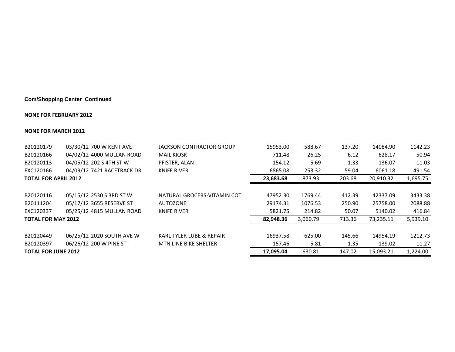#### **Com/Shopping Center Continued**

#### **NONE FOR FEBRUARY 2012**

#### **NONE FOR MARCH 2012**

| B20120179                   | 03/30/12 700 W KENT AVE    | <b>JACKSON CONTRACTOR GROUP</b> | 15953.00  | 588.67   | 137.20 | 14084.90  | 1142.23  |
|-----------------------------|----------------------------|---------------------------------|-----------|----------|--------|-----------|----------|
| B20120166                   | 04/02/12 4000 MULLAN ROAD  | <b>MAIL KIOSK</b>               | 711.48    | 26.25    | 6.12   | 628.17    | 50.94    |
| B20120113                   | 04/05/12 202 S 4TH ST W    | PFISTER, ALAN                   | 154.12    | 5.69     | 1.33   | 136.07    | 11.03    |
| EXC120166                   | 04/09/12 7421 RACETRACK DR | <b>KNIFE RIVER</b>              | 6865.08   | 253.32   | 59.04  | 6061.18   | 491.54   |
| <b>TOTAL FOR APRIL 2012</b> |                            |                                 | 23,683.68 | 873.93   | 203.68 | 20,910.32 | 1,695.75 |
|                             |                            |                                 |           |          |        |           |          |
| B20120116                   | 05/15/12 2530 S 3RD ST W   | NATURAL GROCERS-VITAMIN COT     | 47952.30  | 1769.44  | 412.39 | 42337.09  | 3433.38  |
| B20111204                   | 05/17/12 3655 RESERVE ST   | <b>AUTOZONE</b>                 | 29174.31  | 1076.53  | 250.90 | 25758.00  | 2088.88  |
| EXC120337                   | 05/25/12 4815 MULLAN ROAD  | <b>KNIFE RIVER</b>              | 5821.75   | 214.82   | 50.07  | 5140.02   | 416.84   |
| <b>TOTAL FOR MAY 2012</b>   |                            |                                 | 82,948.36 | 3,060.79 | 713.36 | 73,235.11 | 5,939.10 |
|                             |                            |                                 |           |          |        |           |          |
| B20120449                   | 06/25/12 2020 SOUTH AVE W  | KARL TYLER LUBE & REPAIR        | 16937.58  | 625.00   | 145.66 | 14954.19  | 1212.73  |
| B20120397                   | 06/26/12 200 W PINE ST     | <b>MTN LINE BIKE SHELTER</b>    | 157.46    | 5.81     | 1.35   | 139.02    | 11.27    |
| <b>TOTAL FOR JUNE 2012</b>  |                            |                                 | 17,095.04 | 630.81   | 147.02 | 15.093.21 | 1,224.00 |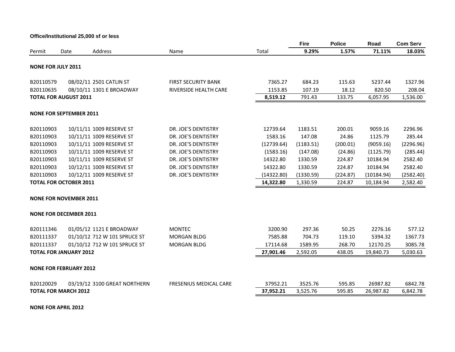**Office/Institutional 25,000 sf or less**

|                                |                              |                              |                               |            | <b>Fire</b> | <b>Police</b> | Road       | <b>Com Serv</b> |
|--------------------------------|------------------------------|------------------------------|-------------------------------|------------|-------------|---------------|------------|-----------------|
| Permit                         | Date                         | Address                      | Name                          | Total      | 9.29%       | 1.57%         | 71.11%     | 18.03%          |
| <b>NONE FOR JULY 2011</b>      |                              |                              |                               |            |             |               |            |                 |
| B20110579                      |                              | 08/02/11 2501 CATLIN ST      | <b>FIRST SECURITY BANK</b>    | 7365.27    | 684.23      | 115.63        | 5237.44    | 1327.96         |
| B20110635                      |                              | 08/10/11 1301 E BROADWAY     | RIVERSIDE HEALTH CARE         | 1153.85    | 107.19      | 18.12         | 820.50     | 208.04          |
|                                | <b>TOTAL FOR AUGUST 2011</b> |                              |                               | 8,519.12   | 791.43      | 133.75        | 6,057.95   | 1,536.00        |
| <b>NONE FOR SEPTEMBER 2011</b> |                              |                              |                               |            |             |               |            |                 |
| B20110903                      |                              | 10/11/11 1009 RESERVE ST     | DR. JOE'S DENTISTRY           | 12739.64   | 1183.51     | 200.01        | 9059.16    | 2296.96         |
| B20110903                      |                              | 10/11/11 1009 RESERVE ST     | DR. JOE'S DENTISTRY           | 1583.16    | 147.08      | 24.86         | 1125.79    | 285.44          |
| B20110903                      |                              | 10/11/11 1009 RESERVE ST     | DR. JOE'S DENTISTRY           | (12739.64) | (1183.51)   | (200.01)      | (9059.16)  | (2296.96)       |
| B20110903                      |                              | 10/11/11 1009 RESERVE ST     | DR. JOE'S DENTISTRY           | (1583.16)  | (147.08)    | (24.86)       | (1125.79)  | (285.44)        |
| B20110903                      |                              | 10/11/11 1009 RESERVE ST     | DR. JOE'S DENTISTRY           | 14322.80   | 1330.59     | 224.87        | 10184.94   | 2582.40         |
| B20110903                      |                              | 10/12/11 1009 RESERVE ST     | DR. JOE'S DENTISTRY           | 14322.80   | 1330.59     | 224.87        | 10184.94   | 2582.40         |
| B20110903                      |                              | 10/12/11 1009 RESERVE ST     | DR. JOE'S DENTISTRY           | (14322.80) | (1330.59)   | (224.87)      | (10184.94) | (2582.40)       |
| <b>TOTAL FOR OCTOBER 2011</b>  |                              |                              |                               | 14,322.80  | 1,330.59    | 224.87        | 10,184.94  | 2,582.40        |
| <b>NONE FOR NOVEMBER 2011</b>  |                              |                              |                               |            |             |               |            |                 |
| <b>NONE FOR DECEMBER 2011</b>  |                              |                              |                               |            |             |               |            |                 |
| B20111346                      |                              | 01/05/12 1121 E BROADWAY     | <b>MONTEC</b>                 | 3200.90    | 297.36      | 50.25         | 2276.16    | 577.12          |
| B20111337                      |                              | 01/10/12 712 W 101 SPRUCE ST | <b>MORGAN BLDG</b>            | 7585.88    | 704.73      | 119.10        | 5394.32    | 1367.73         |
| B20111337                      |                              | 01/10/12 712 W 101 SPRUCE ST | <b>MORGAN BLDG</b>            | 17114.68   | 1589.95     | 268.70        | 12170.25   | 3085.78         |
| <b>TOTAL FOR JANUARY 2012</b>  |                              |                              |                               | 27,901.46  | 2,592.05    | 438.05        | 19,840.73  | 5,030.63        |
| <b>NONE FOR FEBRUARY 2012</b>  |                              |                              |                               |            |             |               |            |                 |
| B20120029                      |                              | 03/19/12 3100 GREAT NORTHERN | <b>FRESENIUS MEDICAL CARE</b> | 37952.21   | 3525.76     | 595.85        | 26987.82   | 6842.78         |
| <b>TOTAL FOR MARCH 2012</b>    |                              |                              |                               | 37,952.21  | 3,525.76    | 595.85        | 26,987.82  | 6,842.78        |
|                                |                              |                              |                               |            |             |               |            |                 |

**NONE FOR APRIL 2012**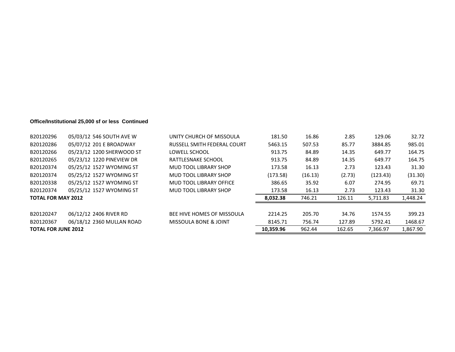#### **Office/Institutional 25,000 sf or less Continued**

| B20120367                 | 06/18/12 2360 MULLAN ROAD | MISSOULA BONE & JOINT        | 8145.71  | 756.74  | 127.89 | 5792.41  | 1468.67  |
|---------------------------|---------------------------|------------------------------|----------|---------|--------|----------|----------|
| B20120247                 | 06/12/12 2406 RIVER RD    | BEE HIVE HOMES OF MISSOULA   | 2214.25  | 205.70  | 34.76  | 1574.55  | 399.23   |
| <b>TOTAL FOR MAY 2012</b> |                           |                              | 8,032.38 | 746.21  | 126.11 | 5.711.83 | 1,448.24 |
| B20120374                 | 05/25/12 1527 WYOMING ST  | MUD TOOL LIBRARY SHOP        | 173.58   | 16.13   | 2.73   | 123.43   | 31.30    |
| B20120338                 | 05/25/12 1527 WYOMING ST  | MUD TOOL LIBRARY OFFICE      | 386.65   | 35.92   | 6.07   | 274.95   | 69.71    |
| B20120374                 | 05/25/12 1527 WYOMING ST  | MUD TOOL LIBRARY SHOP        | (173.58) | (16.13) | (2.73) | (123.43) | (31.30)  |
| B20120374                 | 05/25/12 1527 WYOMING ST  | <b>MUD TOOL LIBRARY SHOP</b> | 173.58   | 16.13   | 2.73   | 123.43   | 31.30    |
| B20120265                 | 05/23/12 1220 PINEVIEW DR | RATTLESNAKE SCHOOL           | 913.75   | 84.89   | 14.35  | 649.77   | 164.75   |
| B20120266                 | 05/23/12 1200 SHERWOOD ST | LOWELL SCHOOL                | 913.75   | 84.89   | 14.35  | 649.77   | 164.75   |
| B20120286                 | 05/07/12 201 E BROADWAY   | RUSSELL SMITH FEDERAL COURT  | 5463.15  | 507.53  | 85.77  | 3884.85  | 985.01   |
| B20120296                 | 05/03/12 546 SOUTH AVE W  | UNITY CHURCH OF MISSOULA     | 181.50   | 16.86   | 2.85   | 129.06   | 32.72    |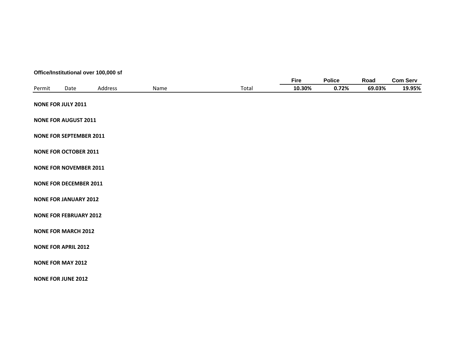#### **Office/Institutional over 100,000 sf**

|        |                                |         |      |       | <b>Fire</b> | <b>Police</b> | Road   | <b>Com Serv</b> |
|--------|--------------------------------|---------|------|-------|-------------|---------------|--------|-----------------|
| Permit | Date                           | Address | Name | Total | 10.30%      | 0.72%         | 69.03% | 19.95%          |
|        | <b>NONE FOR JULY 2011</b>      |         |      |       |             |               |        |                 |
|        | <b>NONE FOR AUGUST 2011</b>    |         |      |       |             |               |        |                 |
|        | <b>NONE FOR SEPTEMBER 2011</b> |         |      |       |             |               |        |                 |
|        | <b>NONE FOR OCTOBER 2011</b>   |         |      |       |             |               |        |                 |
|        | <b>NONE FOR NOVEMBER 2011</b>  |         |      |       |             |               |        |                 |
|        | <b>NONE FOR DECEMBER 2011</b>  |         |      |       |             |               |        |                 |
|        | <b>NONE FOR JANUARY 2012</b>   |         |      |       |             |               |        |                 |
|        | <b>NONE FOR FEBRUARY 2012</b>  |         |      |       |             |               |        |                 |
|        | <b>NONE FOR MARCH 2012</b>     |         |      |       |             |               |        |                 |
|        | <b>NONE FOR APRIL 2012</b>     |         |      |       |             |               |        |                 |
|        | <b>NONE FOR MAY 2012</b>       |         |      |       |             |               |        |                 |
|        | <b>NONE FOR JUNE 2012</b>      |         |      |       |             |               |        |                 |